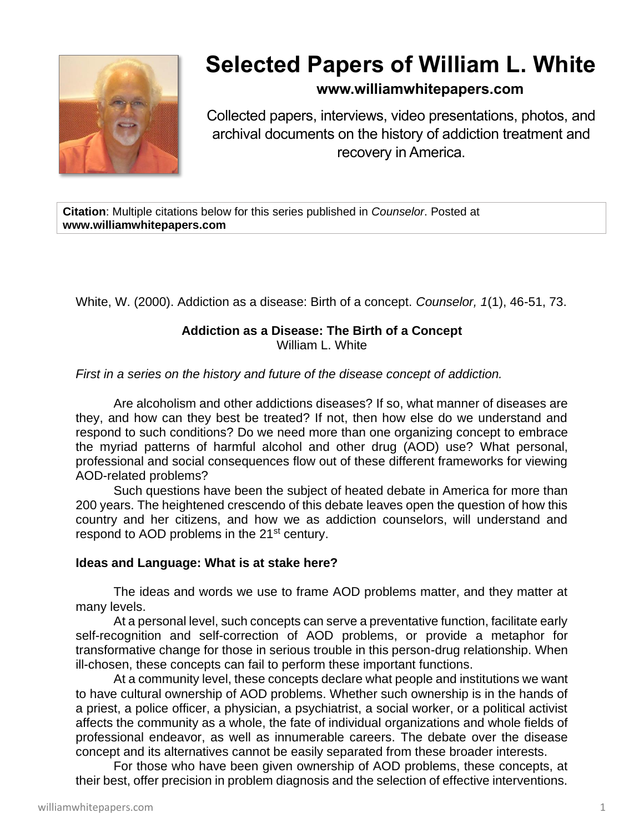

# **Selected Papers of William L. White**

## **www.williamwhitepapers.com**

Collected papers, interviews, video presentations, photos, and archival documents on the history of addiction treatment and recovery in America.

**Citation**: Multiple citations below for this series published in *Counselor*. Posted at **www.williamwhitepapers.com**

White, W. (2000). Addiction as a disease: Birth of a concept. *Counselor, 1*(1), 46-51, 73.

#### **Addiction as a Disease: The Birth of a Concept** William L. White

*First in a series on the history and future of the disease concept of addiction.*

Are alcoholism and other addictions diseases? If so, what manner of diseases are they, and how can they best be treated? If not, then how else do we understand and respond to such conditions? Do we need more than one organizing concept to embrace the myriad patterns of harmful alcohol and other drug (AOD) use? What personal, professional and social consequences flow out of these different frameworks for viewing AOD-related problems?

Such questions have been the subject of heated debate in America for more than 200 years. The heightened crescendo of this debate leaves open the question of how this country and her citizens, and how we as addiction counselors, will understand and respond to AOD problems in the 21<sup>st</sup> century.

## **Ideas and Language: What is at stake here?**

The ideas and words we use to frame AOD problems matter, and they matter at many levels.

At a personal level, such concepts can serve a preventative function, facilitate early self-recognition and self-correction of AOD problems, or provide a metaphor for transformative change for those in serious trouble in this person-drug relationship. When ill-chosen, these concepts can fail to perform these important functions.

At a community level, these concepts declare what people and institutions we want to have cultural ownership of AOD problems. Whether such ownership is in the hands of a priest, a police officer, a physician, a psychiatrist, a social worker, or a political activist affects the community as a whole, the fate of individual organizations and whole fields of professional endeavor, as well as innumerable careers. The debate over the disease concept and its alternatives cannot be easily separated from these broader interests.

For those who have been given ownership of AOD problems, these concepts, at their best, offer precision in problem diagnosis and the selection of effective interventions.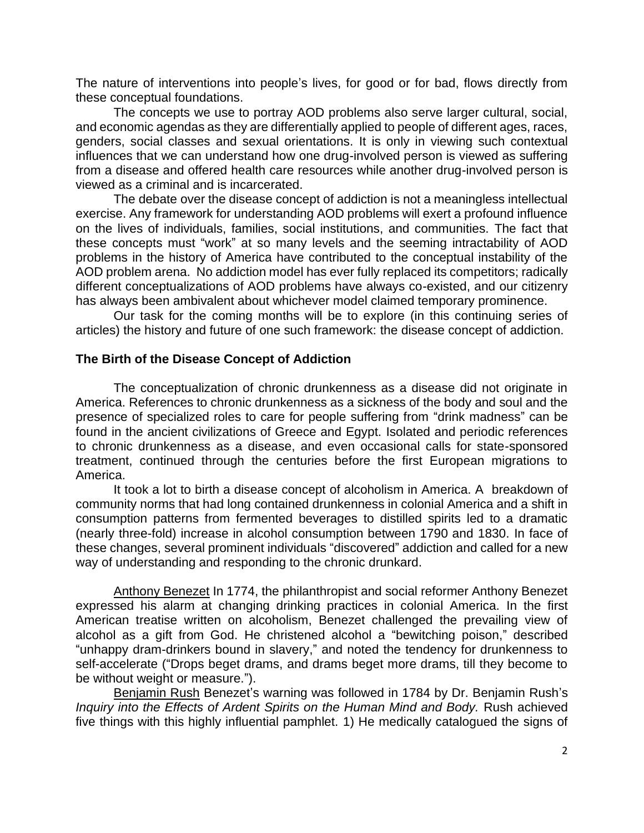The nature of interventions into people's lives, for good or for bad, flows directly from these conceptual foundations.

The concepts we use to portray AOD problems also serve larger cultural, social, and economic agendas as they are differentially applied to people of different ages, races, genders, social classes and sexual orientations. It is only in viewing such contextual influences that we can understand how one drug-involved person is viewed as suffering from a disease and offered health care resources while another drug-involved person is viewed as a criminal and is incarcerated.

The debate over the disease concept of addiction is not a meaningless intellectual exercise. Any framework for understanding AOD problems will exert a profound influence on the lives of individuals, families, social institutions, and communities. The fact that these concepts must "work" at so many levels and the seeming intractability of AOD problems in the history of America have contributed to the conceptual instability of the AOD problem arena. No addiction model has ever fully replaced its competitors; radically different conceptualizations of AOD problems have always co-existed, and our citizenry has always been ambivalent about whichever model claimed temporary prominence.

Our task for the coming months will be to explore (in this continuing series of articles) the history and future of one such framework: the disease concept of addiction.

## **The Birth of the Disease Concept of Addiction**

The conceptualization of chronic drunkenness as a disease did not originate in America. References to chronic drunkenness as a sickness of the body and soul and the presence of specialized roles to care for people suffering from "drink madness" can be found in the ancient civilizations of Greece and Egypt. Isolated and periodic references to chronic drunkenness as a disease, and even occasional calls for state-sponsored treatment, continued through the centuries before the first European migrations to America.

It took a lot to birth a disease concept of alcoholism in America. A breakdown of community norms that had long contained drunkenness in colonial America and a shift in consumption patterns from fermented beverages to distilled spirits led to a dramatic (nearly three-fold) increase in alcohol consumption between 1790 and 1830. In face of these changes, several prominent individuals "discovered" addiction and called for a new way of understanding and responding to the chronic drunkard.

Anthony Benezet In 1774, the philanthropist and social reformer Anthony Benezet expressed his alarm at changing drinking practices in colonial America. In the first American treatise written on alcoholism, Benezet challenged the prevailing view of alcohol as a gift from God. He christened alcohol a "bewitching poison," described "unhappy dram-drinkers bound in slavery," and noted the tendency for drunkenness to self-accelerate ("Drops beget drams, and drams beget more drams, till they become to be without weight or measure.").

Benjamin Rush Benezet's warning was followed in 1784 by Dr. Benjamin Rush's *Inquiry into the Effects of Ardent Spirits on the Human Mind and Body.* Rush achieved five things with this highly influential pamphlet. 1) He medically catalogued the signs of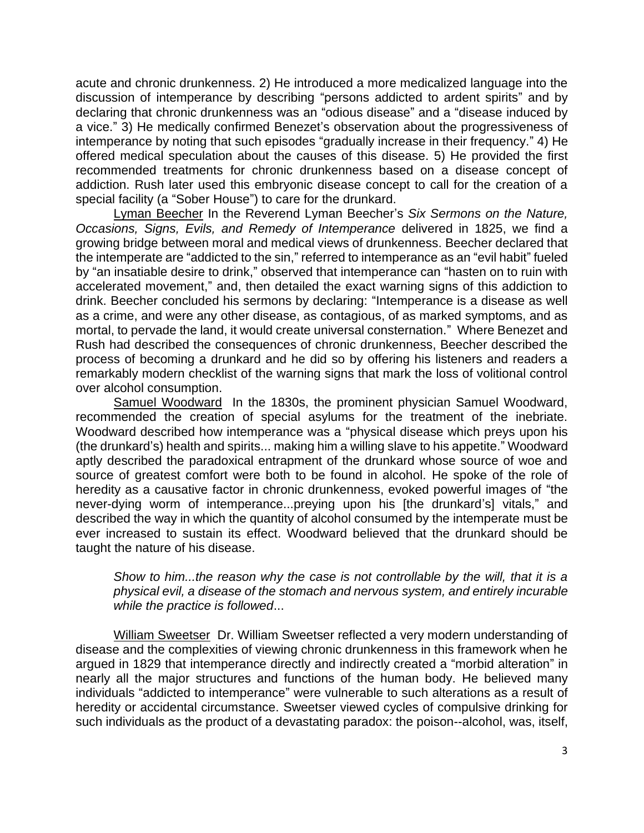acute and chronic drunkenness. 2) He introduced a more medicalized language into the discussion of intemperance by describing "persons addicted to ardent spirits" and by declaring that chronic drunkenness was an "odious disease" and a "disease induced by a vice." 3) He medically confirmed Benezet's observation about the progressiveness of intemperance by noting that such episodes "gradually increase in their frequency." 4) He offered medical speculation about the causes of this disease. 5) He provided the first recommended treatments for chronic drunkenness based on a disease concept of addiction. Rush later used this embryonic disease concept to call for the creation of a special facility (a "Sober House") to care for the drunkard.

Lyman Beecher In the Reverend Lyman Beecher's *Six Sermons on the Nature, Occasions, Signs, Evils, and Remedy of Intemperance* delivered in 1825, we find a growing bridge between moral and medical views of drunkenness. Beecher declared that the intemperate are "addicted to the sin," referred to intemperance as an "evil habit" fueled by "an insatiable desire to drink," observed that intemperance can "hasten on to ruin with accelerated movement," and, then detailed the exact warning signs of this addiction to drink. Beecher concluded his sermons by declaring: "Intemperance is a disease as well as a crime, and were any other disease, as contagious, of as marked symptoms, and as mortal, to pervade the land, it would create universal consternation." Where Benezet and Rush had described the consequences of chronic drunkenness, Beecher described the process of becoming a drunkard and he did so by offering his listeners and readers a remarkably modern checklist of the warning signs that mark the loss of volitional control over alcohol consumption.

Samuel Woodward In the 1830s, the prominent physician Samuel Woodward, recommended the creation of special asylums for the treatment of the inebriate. Woodward described how intemperance was a "physical disease which preys upon his (the drunkard's) health and spirits... making him a willing slave to his appetite." Woodward aptly described the paradoxical entrapment of the drunkard whose source of woe and source of greatest comfort were both to be found in alcohol. He spoke of the role of heredity as a causative factor in chronic drunkenness, evoked powerful images of "the never-dying worm of intemperance...preying upon his [the drunkard's] vitals," and described the way in which the quantity of alcohol consumed by the intemperate must be ever increased to sustain its effect. Woodward believed that the drunkard should be taught the nature of his disease.

*Show to him...the reason why the case is not controllable by the will, that it is a physical evil, a disease of the stomach and nervous system, and entirely incurable while the practice is followed*...

William Sweetser Dr. William Sweetser reflected a very modern understanding of disease and the complexities of viewing chronic drunkenness in this framework when he argued in 1829 that intemperance directly and indirectly created a "morbid alteration" in nearly all the major structures and functions of the human body. He believed many individuals "addicted to intemperance" were vulnerable to such alterations as a result of heredity or accidental circumstance. Sweetser viewed cycles of compulsive drinking for such individuals as the product of a devastating paradox: the poison--alcohol, was, itself,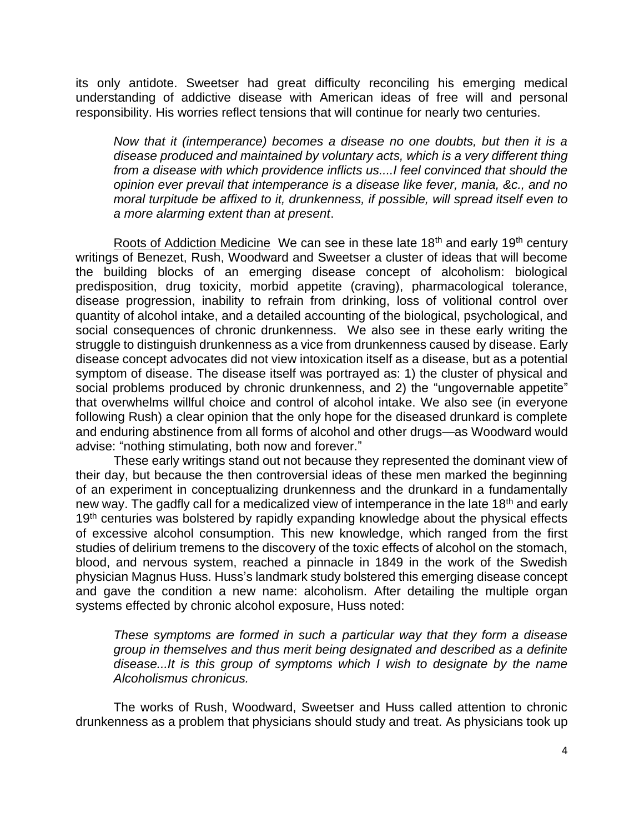its only antidote. Sweetser had great difficulty reconciling his emerging medical understanding of addictive disease with American ideas of free will and personal responsibility. His worries reflect tensions that will continue for nearly two centuries.

*Now that it (intemperance) becomes a disease no one doubts, but then it is a disease produced and maintained by voluntary acts, which is a very different thing from a disease with which providence inflicts us....I feel convinced that should the opinion ever prevail that intemperance is a disease like fever, mania, &c., and no moral turpitude be affixed to it, drunkenness, if possible, will spread itself even to a more alarming extent than at present*.

Roots of Addiction Medicine We can see in these late  $18<sup>th</sup>$  and early  $19<sup>th</sup>$  century writings of Benezet, Rush, Woodward and Sweetser a cluster of ideas that will become the building blocks of an emerging disease concept of alcoholism: biological predisposition, drug toxicity, morbid appetite (craving), pharmacological tolerance, disease progression, inability to refrain from drinking, loss of volitional control over quantity of alcohol intake, and a detailed accounting of the biological, psychological, and social consequences of chronic drunkenness. We also see in these early writing the struggle to distinguish drunkenness as a vice from drunkenness caused by disease. Early disease concept advocates did not view intoxication itself as a disease, but as a potential symptom of disease. The disease itself was portrayed as: 1) the cluster of physical and social problems produced by chronic drunkenness, and 2) the "ungovernable appetite" that overwhelms willful choice and control of alcohol intake. We also see (in everyone following Rush) a clear opinion that the only hope for the diseased drunkard is complete and enduring abstinence from all forms of alcohol and other drugs—as Woodward would advise: "nothing stimulating, both now and forever."

These early writings stand out not because they represented the dominant view of their day, but because the then controversial ideas of these men marked the beginning of an experiment in conceptualizing drunkenness and the drunkard in a fundamentally new way. The gadfly call for a medicalized view of intemperance in the late 18<sup>th</sup> and early 19<sup>th</sup> centuries was bolstered by rapidly expanding knowledge about the physical effects of excessive alcohol consumption. This new knowledge, which ranged from the first studies of delirium tremens to the discovery of the toxic effects of alcohol on the stomach, blood, and nervous system, reached a pinnacle in 1849 in the work of the Swedish physician Magnus Huss. Huss's landmark study bolstered this emerging disease concept and gave the condition a new name: alcoholism. After detailing the multiple organ systems effected by chronic alcohol exposure, Huss noted:

*These symptoms are formed in such a particular way that they form a disease group in themselves and thus merit being designated and described as a definite disease...It is this group of symptoms which I wish to designate by the name Alcoholismus chronicus.*

The works of Rush, Woodward, Sweetser and Huss called attention to chronic drunkenness as a problem that physicians should study and treat. As physicians took up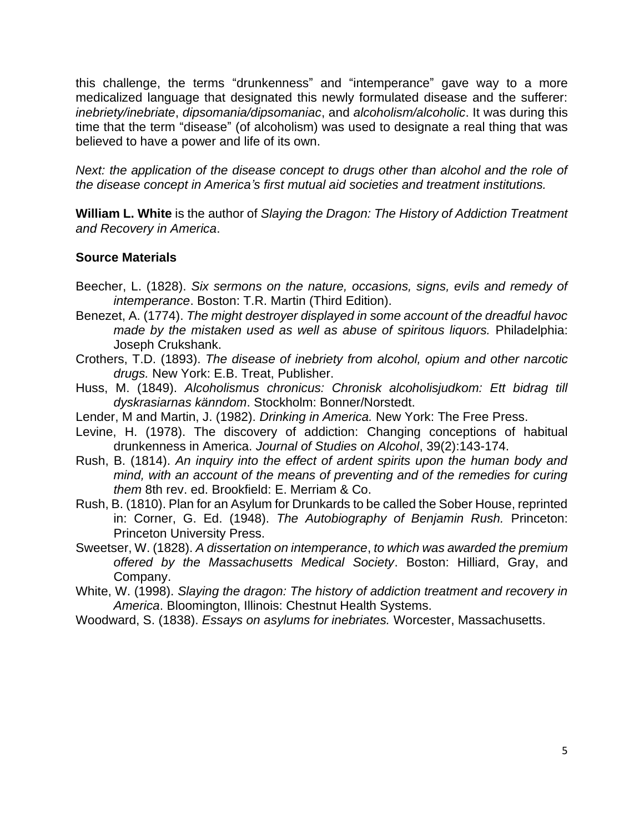this challenge, the terms "drunkenness" and "intemperance" gave way to a more medicalized language that designated this newly formulated disease and the sufferer: *inebriety/inebriate*, *dipsomania/dipsomaniac*, and *alcoholism/alcoholic*. It was during this time that the term "disease" (of alcoholism) was used to designate a real thing that was believed to have a power and life of its own.

*Next: the application of the disease concept to drugs other than alcohol and the role of the disease concept in America's first mutual aid societies and treatment institutions.*

**William L. White** is the author of *Slaying the Dragon: The History of Addiction Treatment and Recovery in America*.

## **Source Materials**

- Beecher, L. (1828). *Six sermons on the nature, occasions, signs, evils and remedy of intemperance*. Boston: T.R. Martin (Third Edition).
- Benezet, A. (1774). *The might destroyer displayed in some account of the dreadful havoc made by the mistaken used as well as abuse of spiritous liquors.* Philadelphia: Joseph Crukshank.
- Crothers, T.D. (1893). *The disease of inebriety from alcohol, opium and other narcotic drugs.* New York: E.B. Treat, Publisher.
- Huss, M. (1849). *Alcoholismus chronicus: Chronisk alcoholisjudkom: Ett bidrag till dyskrasiarnas känndom*. Stockholm: Bonner/Norstedt.
- Lender, M and Martin, J. (1982). *Drinking in America.* New York: The Free Press.
- Levine, H. (1978). The discovery of addiction: Changing conceptions of habitual drunkenness in America. *Journal of Studies on Alcohol*, 39(2):143-174.
- Rush, B. (1814). *An inquiry into the effect of ardent spirits upon the human body and mind, with an account of the means of preventing and of the remedies for curing them* 8th rev. ed. Brookfield: E. Merriam & Co.
- Rush, B. (1810). Plan for an Asylum for Drunkards to be called the Sober House, reprinted in: Corner, G. Ed. (1948). *The Autobiography of Benjamin Rush.* Princeton: Princeton University Press.
- Sweetser, W. (1828). *A dissertation on intemperance*, *to which was awarded the premium offered by the Massachusetts Medical Society*. Boston: Hilliard, Gray, and Company.
- White, W. (1998). *Slaying the dragon: The history of addiction treatment and recovery in America*. Bloomington, Illinois: Chestnut Health Systems.
- Woodward, S. (1838). *Essays on asylums for inebriates.* Worcester, Massachusetts.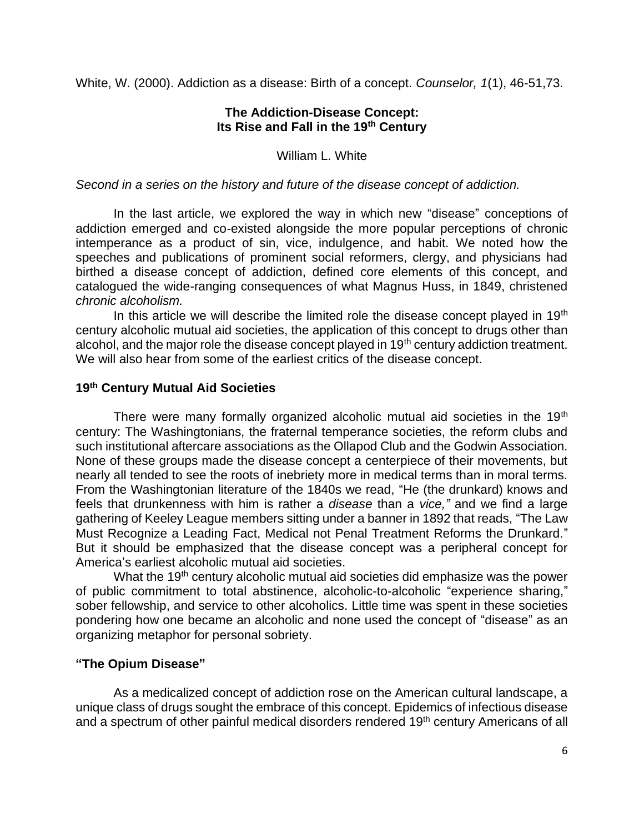White, W. (2000). Addiction as a disease: Birth of a concept. *Counselor, 1*(1), 46-51,73.

## **The Addiction-Disease Concept: Its Rise and Fall in the 19th Century**

William L. White

## *Second in a series on the history and future of the disease concept of addiction.*

In the last article, we explored the way in which new "disease" conceptions of addiction emerged and co-existed alongside the more popular perceptions of chronic intemperance as a product of sin, vice, indulgence, and habit. We noted how the speeches and publications of prominent social reformers, clergy, and physicians had birthed a disease concept of addiction, defined core elements of this concept, and catalogued the wide-ranging consequences of what Magnus Huss, in 1849, christened *chronic alcoholism.*

In this article we will describe the limited role the disease concept played in  $19<sup>th</sup>$ century alcoholic mutual aid societies, the application of this concept to drugs other than alcohol, and the major role the disease concept played in 19<sup>th</sup> century addiction treatment. We will also hear from some of the earliest critics of the disease concept.

## **19th Century Mutual Aid Societies**

There were many formally organized alcoholic mutual aid societies in the 19<sup>th</sup> century: The Washingtonians, the fraternal temperance societies, the reform clubs and such institutional aftercare associations as the Ollapod Club and the Godwin Association. None of these groups made the disease concept a centerpiece of their movements, but nearly all tended to see the roots of inebriety more in medical terms than in moral terms. From the Washingtonian literature of the 1840s we read, "He (the drunkard) knows and feels that drunkenness with him is rather a *disease* than a *vice,"* and we find a large gathering of Keeley League members sitting under a banner in 1892 that reads, "The Law Must Recognize a Leading Fact, Medical not Penal Treatment Reforms the Drunkard." But it should be emphasized that the disease concept was a peripheral concept for America's earliest alcoholic mutual aid societies.

What the 19<sup>th</sup> century alcoholic mutual aid societies did emphasize was the power of public commitment to total abstinence, alcoholic-to-alcoholic "experience sharing," sober fellowship, and service to other alcoholics. Little time was spent in these societies pondering how one became an alcoholic and none used the concept of "disease" as an organizing metaphor for personal sobriety.

## **"The Opium Disease"**

As a medicalized concept of addiction rose on the American cultural landscape, a unique class of drugs sought the embrace of this concept. Epidemics of infectious disease and a spectrum of other painful medical disorders rendered 19<sup>th</sup> century Americans of all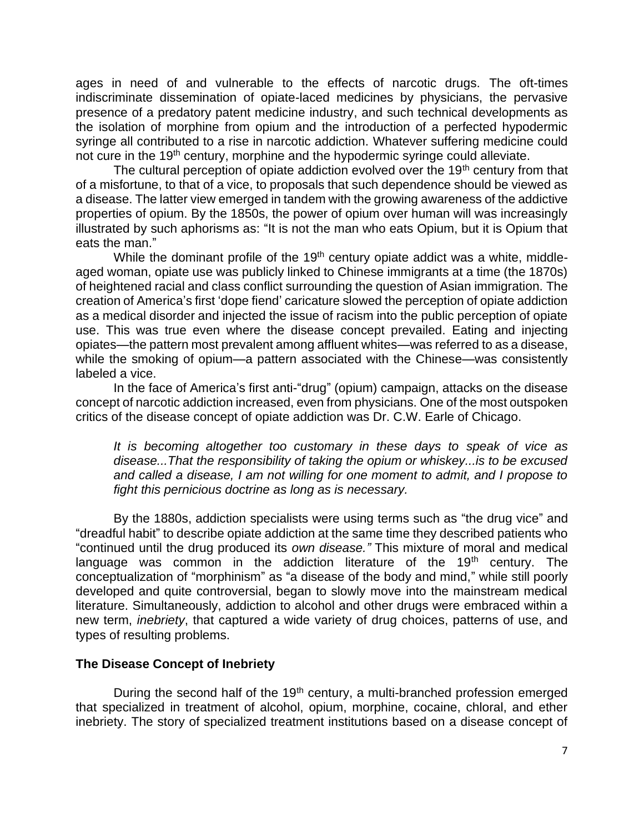ages in need of and vulnerable to the effects of narcotic drugs. The oft-times indiscriminate dissemination of opiate-laced medicines by physicians, the pervasive presence of a predatory patent medicine industry, and such technical developments as the isolation of morphine from opium and the introduction of a perfected hypodermic syringe all contributed to a rise in narcotic addiction. Whatever suffering medicine could not cure in the 19<sup>th</sup> century, morphine and the hypodermic syringe could alleviate.

The cultural perception of opiate addiction evolved over the 19<sup>th</sup> century from that of a misfortune, to that of a vice, to proposals that such dependence should be viewed as a disease. The latter view emerged in tandem with the growing awareness of the addictive properties of opium. By the 1850s, the power of opium over human will was increasingly illustrated by such aphorisms as: "It is not the man who eats Opium, but it is Opium that eats the man."

While the dominant profile of the 19<sup>th</sup> century opiate addict was a white, middleaged woman, opiate use was publicly linked to Chinese immigrants at a time (the 1870s) of heightened racial and class conflict surrounding the question of Asian immigration. The creation of America's first 'dope fiend' caricature slowed the perception of opiate addiction as a medical disorder and injected the issue of racism into the public perception of opiate use. This was true even where the disease concept prevailed. Eating and injecting opiates—the pattern most prevalent among affluent whites—was referred to as a disease, while the smoking of opium—a pattern associated with the Chinese—was consistently labeled a vice.

In the face of America's first anti-"drug" (opium) campaign, attacks on the disease concept of narcotic addiction increased, even from physicians. One of the most outspoken critics of the disease concept of opiate addiction was Dr. C.W. Earle of Chicago.

*It is becoming altogether too customary in these days to speak of vice as disease...That the responsibility of taking the opium or whiskey...is to be excused and called a disease, I am not willing for one moment to admit, and I propose to fight this pernicious doctrine as long as is necessary.* 

By the 1880s, addiction specialists were using terms such as "the drug vice" and "dreadful habit" to describe opiate addiction at the same time they described patients who "continued until the drug produced its *own disease."* This mixture of moral and medical language was common in the addiction literature of the  $19<sup>th</sup>$  century. The conceptualization of "morphinism" as "a disease of the body and mind," while still poorly developed and quite controversial, began to slowly move into the mainstream medical literature. Simultaneously, addiction to alcohol and other drugs were embraced within a new term, *inebriety*, that captured a wide variety of drug choices, patterns of use, and types of resulting problems.

## **The Disease Concept of Inebriety**

During the second half of the  $19<sup>th</sup>$  century, a multi-branched profession emerged that specialized in treatment of alcohol, opium, morphine, cocaine, chloral, and ether inebriety. The story of specialized treatment institutions based on a disease concept of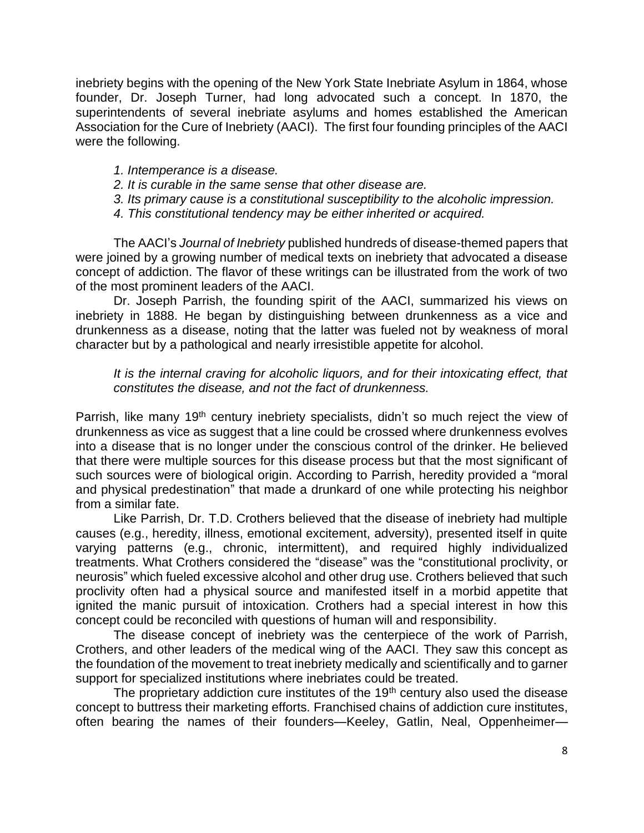inebriety begins with the opening of the New York State Inebriate Asylum in 1864, whose founder, Dr. Joseph Turner, had long advocated such a concept. In 1870, the superintendents of several inebriate asylums and homes established the American Association for the Cure of Inebriety (AACI). The first four founding principles of the AACI were the following.

- *1. Intemperance is a disease.*
- *2. It is curable in the same sense that other disease are.*
- *3. Its primary cause is a constitutional susceptibility to the alcoholic impression.*
- *4. This constitutional tendency may be either inherited or acquired.*

The AACI's *Journal of Inebriety* published hundreds of disease-themed papers that were joined by a growing number of medical texts on inebriety that advocated a disease concept of addiction. The flavor of these writings can be illustrated from the work of two of the most prominent leaders of the AACI.

Dr. Joseph Parrish, the founding spirit of the AACI, summarized his views on inebriety in 1888. He began by distinguishing between drunkenness as a vice and drunkenness as a disease, noting that the latter was fueled not by weakness of moral character but by a pathological and nearly irresistible appetite for alcohol.

*It is the internal craving for alcoholic liquors, and for their intoxicating effect, that constitutes the disease, and not the fact of drunkenness.*

Parrish, like many 19<sup>th</sup> century inebriety specialists, didn't so much reject the view of drunkenness as vice as suggest that a line could be crossed where drunkenness evolves into a disease that is no longer under the conscious control of the drinker. He believed that there were multiple sources for this disease process but that the most significant of such sources were of biological origin. According to Parrish, heredity provided a "moral and physical predestination" that made a drunkard of one while protecting his neighbor from a similar fate.

Like Parrish, Dr. T.D. Crothers believed that the disease of inebriety had multiple causes (e.g., heredity, illness, emotional excitement, adversity), presented itself in quite varying patterns (e.g., chronic, intermittent), and required highly individualized treatments. What Crothers considered the "disease" was the "constitutional proclivity, or neurosis" which fueled excessive alcohol and other drug use. Crothers believed that such proclivity often had a physical source and manifested itself in a morbid appetite that ignited the manic pursuit of intoxication. Crothers had a special interest in how this concept could be reconciled with questions of human will and responsibility.

The disease concept of inebriety was the centerpiece of the work of Parrish, Crothers, and other leaders of the medical wing of the AACI. They saw this concept as the foundation of the movement to treat inebriety medically and scientifically and to garner support for specialized institutions where inebriates could be treated.

The proprietary addiction cure institutes of the  $19<sup>th</sup>$  century also used the disease concept to buttress their marketing efforts. Franchised chains of addiction cure institutes, often bearing the names of their founders—Keeley, Gatlin, Neal, Oppenheimer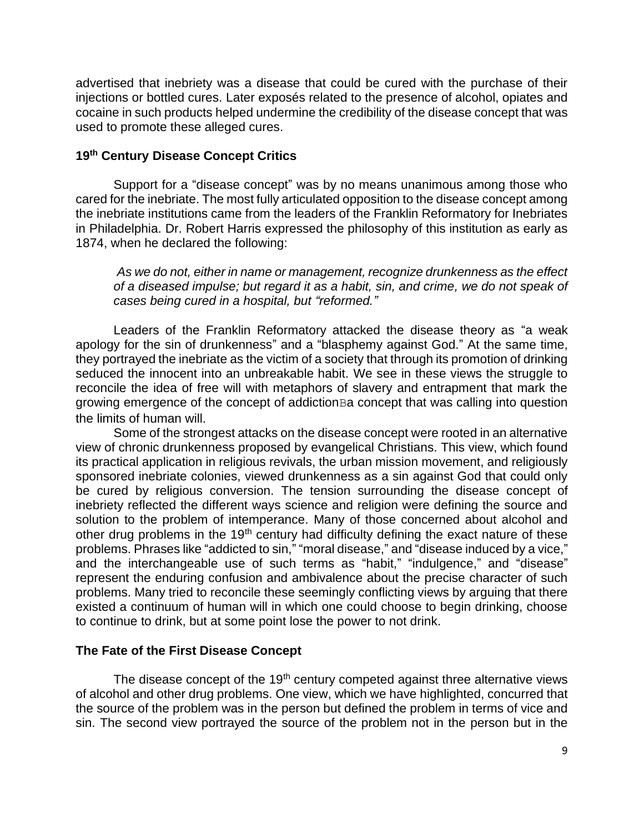advertised that inebriety was a disease that could be cured with the purchase of their injections or bottled cures. Later exposés related to the presence of alcohol, opiates and cocaine in such products helped undermine the credibility of the disease concept that was used to promote these alleged cures.

## **19th Century Disease Concept Critics**

Support for a "disease concept" was by no means unanimous among those who cared for the inebriate. The most fully articulated opposition to the disease concept among the inebriate institutions came from the leaders of the Franklin Reformatory for Inebriates in Philadelphia. Dr. Robert Harris expressed the philosophy of this institution as early as 1874, when he declared the following:

*As we do not, either in name or management, recognize drunkenness as the effect of a diseased impulse; but regard it as a habit, sin, and crime, we do not speak of cases being cured in a hospital, but "reformed."*

Leaders of the Franklin Reformatory attacked the disease theory as "a weak apology for the sin of drunkenness" and a "blasphemy against God." At the same time, they portrayed the inebriate as the victim of a society that through its promotion of drinking seduced the innocent into an unbreakable habit. We see in these views the struggle to reconcile the idea of free will with metaphors of slavery and entrapment that mark the growing emergence of the concept of addictionBa concept that was calling into question the limits of human will.

Some of the strongest attacks on the disease concept were rooted in an alternative view of chronic drunkenness proposed by evangelical Christians. This view, which found its practical application in religious revivals, the urban mission movement, and religiously sponsored inebriate colonies, viewed drunkenness as a sin against God that could only be cured by religious conversion. The tension surrounding the disease concept of inebriety reflected the different ways science and religion were defining the source and solution to the problem of intemperance. Many of those concerned about alcohol and other drug problems in the 19<sup>th</sup> century had difficulty defining the exact nature of these problems. Phrases like "addicted to sin," "moral disease," and "disease induced by a vice," and the interchangeable use of such terms as "habit," "indulgence," and "disease" represent the enduring confusion and ambivalence about the precise character of such problems. Many tried to reconcile these seemingly conflicting views by arguing that there existed a continuum of human will in which one could choose to begin drinking, choose to continue to drink, but at some point lose the power to not drink.

## **The Fate of the First Disease Concept**

The disease concept of the  $19<sup>th</sup>$  century competed against three alternative views of alcohol and other drug problems. One view, which we have highlighted, concurred that the source of the problem was in the person but defined the problem in terms of vice and sin. The second view portrayed the source of the problem not in the person but in the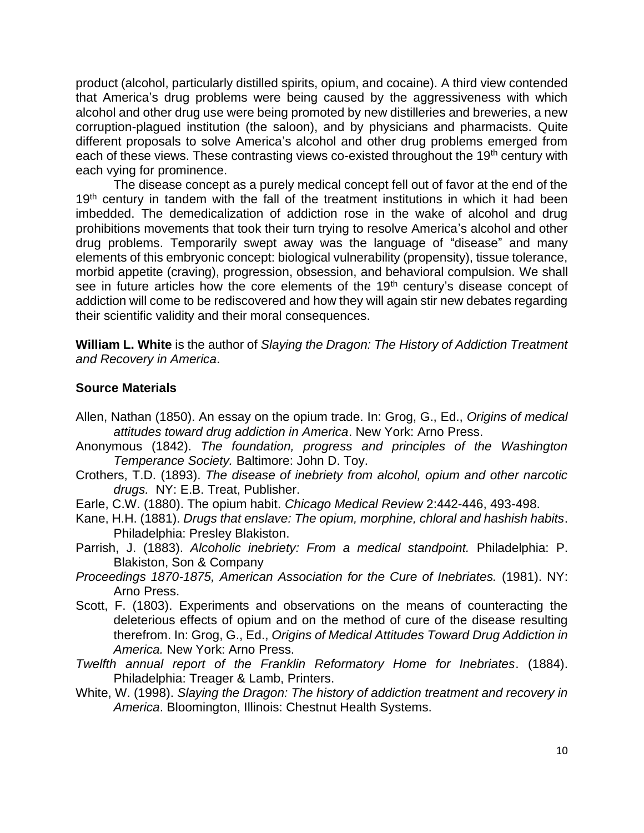product (alcohol, particularly distilled spirits, opium, and cocaine). A third view contended that America's drug problems were being caused by the aggressiveness with which alcohol and other drug use were being promoted by new distilleries and breweries, a new corruption-plagued institution (the saloon), and by physicians and pharmacists. Quite different proposals to solve America's alcohol and other drug problems emerged from each of these views. These contrasting views co-existed throughout the 19<sup>th</sup> century with each vying for prominence.

The disease concept as a purely medical concept fell out of favor at the end of the 19<sup>th</sup> century in tandem with the fall of the treatment institutions in which it had been imbedded. The demedicalization of addiction rose in the wake of alcohol and drug prohibitions movements that took their turn trying to resolve America's alcohol and other drug problems. Temporarily swept away was the language of "disease" and many elements of this embryonic concept: biological vulnerability (propensity), tissue tolerance, morbid appetite (craving), progression, obsession, and behavioral compulsion. We shall see in future articles how the core elements of the 19<sup>th</sup> century's disease concept of addiction will come to be rediscovered and how they will again stir new debates regarding their scientific validity and their moral consequences.

**William L. White** is the author of *Slaying the Dragon: The History of Addiction Treatment and Recovery in America*.

## **Source Materials**

- Allen, Nathan (1850). An essay on the opium trade. In: Grog, G., Ed., *Origins of medical attitudes toward drug addiction in America*. New York: Arno Press.
- Anonymous (1842). *The foundation, progress and principles of the Washington Temperance Society.* Baltimore: John D. Toy.
- Crothers, T.D. (1893). *The disease of inebriety from alcohol, opium and other narcotic drugs.* NY: E.B. Treat, Publisher.
- Earle, C.W. (1880). The opium habit. *Chicago Medical Review* 2:442-446, 493-498.
- Kane, H.H. (1881). *Drugs that enslave: The opium, morphine, chloral and hashish habits*. Philadelphia: Presley Blakiston.
- Parrish, J. (1883). *Alcoholic inebriety: From a medical standpoint.* Philadelphia: P. Blakiston, Son & Company
- *Proceedings 1870-1875, American Association for the Cure of Inebriates.* (1981). NY: Arno Press.
- Scott, F. (1803). Experiments and observations on the means of counteracting the deleterious effects of opium and on the method of cure of the disease resulting therefrom. In: Grog, G., Ed., *Origins of Medical Attitudes Toward Drug Addiction in America.* New York: Arno Press.
- *Twelfth annual report of the Franklin Reformatory Home for Inebriates*. (1884). Philadelphia: Treager & Lamb, Printers.
- White, W. (1998). *Slaying the Dragon: The history of addiction treatment and recovery in America*. Bloomington, Illinois: Chestnut Health Systems.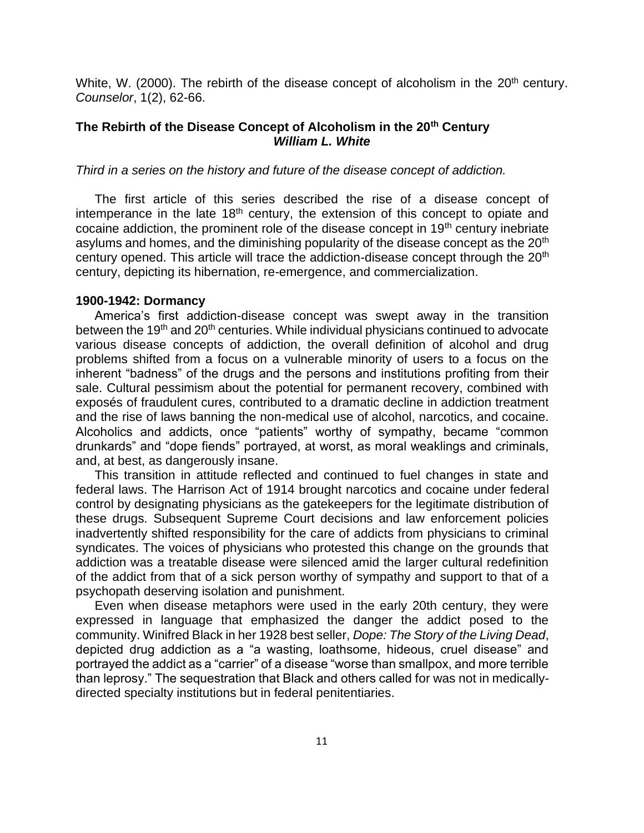White, W. (2000). The rebirth of the disease concept of alcoholism in the  $20<sup>th</sup>$  century. *Counselor*, 1(2), 62-66.

## **The Rebirth of the Disease Concept of Alcoholism in the 20th Century** *William L. White*

*Third in a series on the history and future of the disease concept of addiction.*

The first article of this series described the rise of a disease concept of intemperance in the late 18<sup>th</sup> century, the extension of this concept to opiate and cocaine addiction, the prominent role of the disease concept in 19th century inebriate asylums and homes, and the diminishing popularity of the disease concept as the 20<sup>th</sup> century opened. This article will trace the addiction-disease concept through the 20<sup>th</sup> century, depicting its hibernation, re-emergence, and commercialization.

#### **1900-1942: Dormancy**

America's first addiction-disease concept was swept away in the transition between the 19<sup>th</sup> and 20<sup>th</sup> centuries. While individual physicians continued to advocate various disease concepts of addiction, the overall definition of alcohol and drug problems shifted from a focus on a vulnerable minority of users to a focus on the inherent "badness" of the drugs and the persons and institutions profiting from their sale. Cultural pessimism about the potential for permanent recovery, combined with exposés of fraudulent cures, contributed to a dramatic decline in addiction treatment and the rise of laws banning the non-medical use of alcohol, narcotics, and cocaine. Alcoholics and addicts, once "patients" worthy of sympathy, became "common drunkards" and "dope fiends" portrayed, at worst, as moral weaklings and criminals, and, at best, as dangerously insane.

This transition in attitude reflected and continued to fuel changes in state and federal laws. The Harrison Act of 1914 brought narcotics and cocaine under federal control by designating physicians as the gatekeepers for the legitimate distribution of these drugs. Subsequent Supreme Court decisions and law enforcement policies inadvertently shifted responsibility for the care of addicts from physicians to criminal syndicates. The voices of physicians who protested this change on the grounds that addiction was a treatable disease were silenced amid the larger cultural redefinition of the addict from that of a sick person worthy of sympathy and support to that of a psychopath deserving isolation and punishment.

Even when disease metaphors were used in the early 20th century, they were expressed in language that emphasized the danger the addict posed to the community. Winifred Black in her 1928 best seller, *Dope: The Story of the Living Dead*, depicted drug addiction as a "a wasting, loathsome, hideous, cruel disease" and portrayed the addict as a "carrier" of a disease "worse than smallpox, and more terrible than leprosy." The sequestration that Black and others called for was not in medicallydirected specialty institutions but in federal penitentiaries.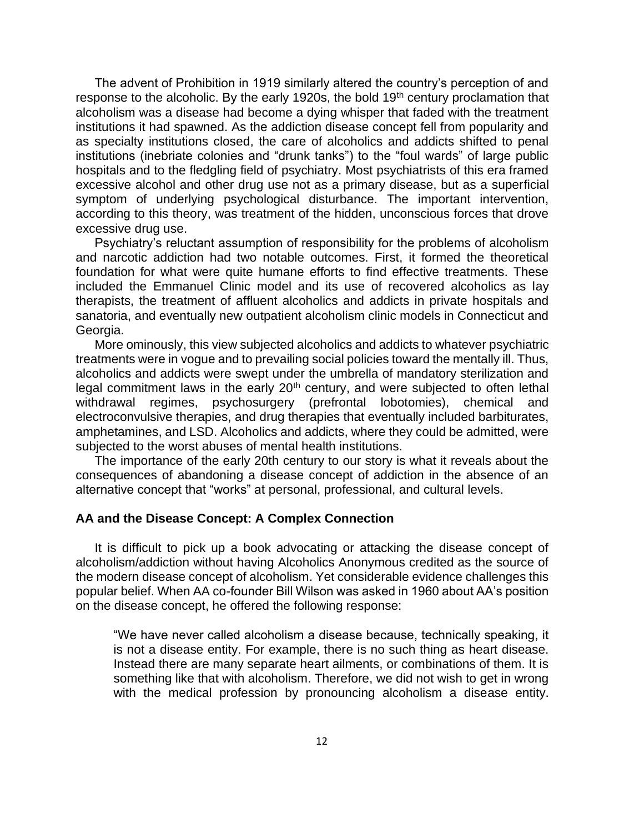The advent of Prohibition in 1919 similarly altered the country's perception of and response to the alcoholic. By the early 1920s, the bold 19<sup>th</sup> century proclamation that alcoholism was a disease had become a dying whisper that faded with the treatment institutions it had spawned. As the addiction disease concept fell from popularity and as specialty institutions closed, the care of alcoholics and addicts shifted to penal institutions (inebriate colonies and "drunk tanks") to the "foul wards" of large public hospitals and to the fledgling field of psychiatry. Most psychiatrists of this era framed excessive alcohol and other drug use not as a primary disease, but as a superficial symptom of underlying psychological disturbance. The important intervention, according to this theory, was treatment of the hidden, unconscious forces that drove excessive drug use.

Psychiatry's reluctant assumption of responsibility for the problems of alcoholism and narcotic addiction had two notable outcomes. First, it formed the theoretical foundation for what were quite humane efforts to find effective treatments. These included the Emmanuel Clinic model and its use of recovered alcoholics as lay therapists, the treatment of affluent alcoholics and addicts in private hospitals and sanatoria, and eventually new outpatient alcoholism clinic models in Connecticut and Georgia.

More ominously, this view subjected alcoholics and addicts to whatever psychiatric treatments were in vogue and to prevailing social policies toward the mentally ill. Thus, alcoholics and addicts were swept under the umbrella of mandatory sterilization and legal commitment laws in the early 20<sup>th</sup> century, and were subjected to often lethal withdrawal regimes, psychosurgery (prefrontal lobotomies), chemical and electroconvulsive therapies, and drug therapies that eventually included barbiturates, amphetamines, and LSD. Alcoholics and addicts, where they could be admitted, were subjected to the worst abuses of mental health institutions.

The importance of the early 20th century to our story is what it reveals about the consequences of abandoning a disease concept of addiction in the absence of an alternative concept that "works" at personal, professional, and cultural levels.

#### **AA and the Disease Concept: A Complex Connection**

It is difficult to pick up a book advocating or attacking the disease concept of alcoholism/addiction without having Alcoholics Anonymous credited as the source of the modern disease concept of alcoholism. Yet considerable evidence challenges this popular belief. When AA co-founder Bill Wilson was asked in 1960 about AA's position on the disease concept, he offered the following response:

"We have never called alcoholism a disease because, technically speaking, it is not a disease entity. For example, there is no such thing as heart disease. Instead there are many separate heart ailments, or combinations of them. It is something like that with alcoholism. Therefore, we did not wish to get in wrong with the medical profession by pronouncing alcoholism a disease entity.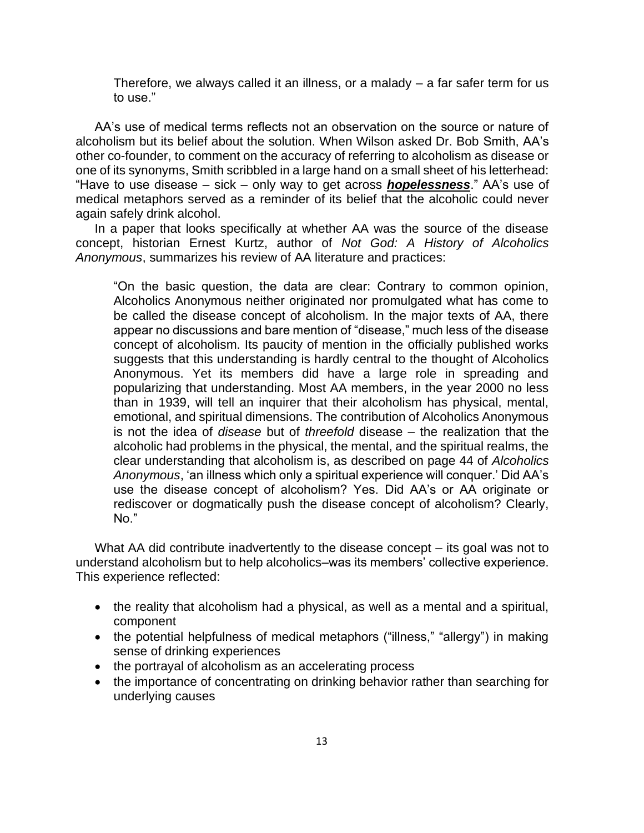Therefore, we always called it an illness, or a malady – a far safer term for us to use."

AA's use of medical terms reflects not an observation on the source or nature of alcoholism but its belief about the solution. When Wilson asked Dr. Bob Smith, AA's other co-founder, to comment on the accuracy of referring to alcoholism as disease or one of its synonyms, Smith scribbled in a large hand on a small sheet of his letterhead: "Have to use disease – sick – only way to get across *hopelessness*." AA's use of medical metaphors served as a reminder of its belief that the alcoholic could never again safely drink alcohol.

In a paper that looks specifically at whether AA was the source of the disease concept, historian Ernest Kurtz, author of *Not God: A History of Alcoholics Anonymous*, summarizes his review of AA literature and practices:

"On the basic question, the data are clear: Contrary to common opinion, Alcoholics Anonymous neither originated nor promulgated what has come to be called the disease concept of alcoholism. In the major texts of AA, there appear no discussions and bare mention of "disease," much less of the disease concept of alcoholism. Its paucity of mention in the officially published works suggests that this understanding is hardly central to the thought of Alcoholics Anonymous. Yet its members did have a large role in spreading and popularizing that understanding. Most AA members, in the year 2000 no less than in 1939, will tell an inquirer that their alcoholism has physical, mental, emotional, and spiritual dimensions. The contribution of Alcoholics Anonymous is not the idea of *disease* but of *threefold* disease – the realization that the alcoholic had problems in the physical, the mental, and the spiritual realms, the clear understanding that alcoholism is, as described on page 44 of *Alcoholics Anonymous*, 'an illness which only a spiritual experience will conquer.' Did AA's use the disease concept of alcoholism? Yes. Did AA's or AA originate or rediscover or dogmatically push the disease concept of alcoholism? Clearly, No."

What AA did contribute inadvertently to the disease concept – its goal was not to understand alcoholism but to help alcoholics–was its members' collective experience. This experience reflected:

- the reality that alcoholism had a physical, as well as a mental and a spiritual, component
- the potential helpfulness of medical metaphors ("illness," "allergy") in making sense of drinking experiences
- the portrayal of alcoholism as an accelerating process
- the importance of concentrating on drinking behavior rather than searching for underlying causes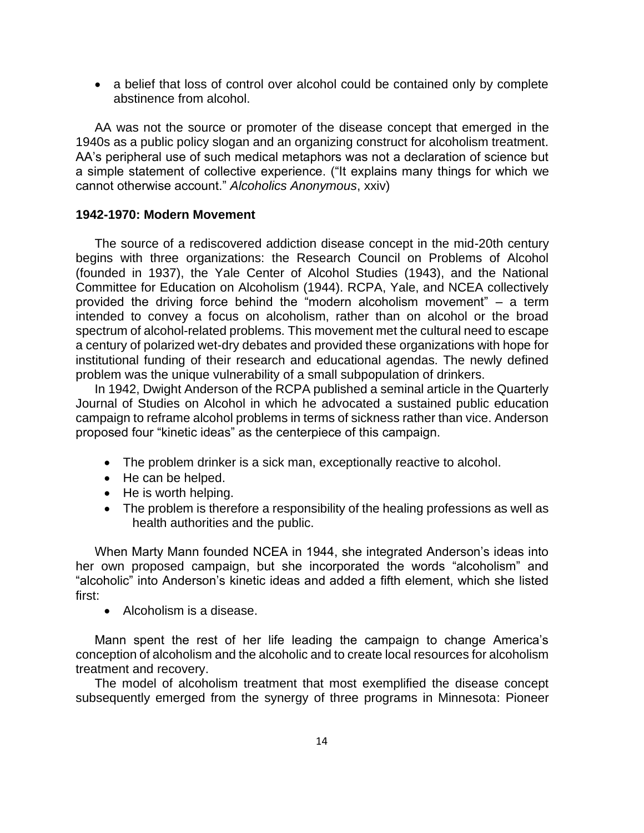• a belief that loss of control over alcohol could be contained only by complete abstinence from alcohol.

AA was not the source or promoter of the disease concept that emerged in the 1940s as a public policy slogan and an organizing construct for alcoholism treatment. AA's peripheral use of such medical metaphors was not a declaration of science but a simple statement of collective experience. ("It explains many things for which we cannot otherwise account." *Alcoholics Anonymous*, xxiv)

## **1942-1970: Modern Movement**

The source of a rediscovered addiction disease concept in the mid-20th century begins with three organizations: the Research Council on Problems of Alcohol (founded in 1937), the Yale Center of Alcohol Studies (1943), and the National Committee for Education on Alcoholism (1944). RCPA, Yale, and NCEA collectively provided the driving force behind the "modern alcoholism movement" – a term intended to convey a focus on alcoholism, rather than on alcohol or the broad spectrum of alcohol-related problems. This movement met the cultural need to escape a century of polarized wet-dry debates and provided these organizations with hope for institutional funding of their research and educational agendas. The newly defined problem was the unique vulnerability of a small subpopulation of drinkers.

In 1942, Dwight Anderson of the RCPA published a seminal article in the Quarterly Journal of Studies on Alcohol in which he advocated a sustained public education campaign to reframe alcohol problems in terms of sickness rather than vice. Anderson proposed four "kinetic ideas" as the centerpiece of this campaign.

- The problem drinker is a sick man, exceptionally reactive to alcohol.
- He can be helped.
- He is worth helping.
- The problem is therefore a responsibility of the healing professions as well as health authorities and the public.

When Marty Mann founded NCEA in 1944, she integrated Anderson's ideas into her own proposed campaign, but she incorporated the words "alcoholism" and "alcoholic" into Anderson's kinetic ideas and added a fifth element, which she listed first:

• Alcoholism is a disease.

Mann spent the rest of her life leading the campaign to change America's conception of alcoholism and the alcoholic and to create local resources for alcoholism treatment and recovery.

The model of alcoholism treatment that most exemplified the disease concept subsequently emerged from the synergy of three programs in Minnesota: Pioneer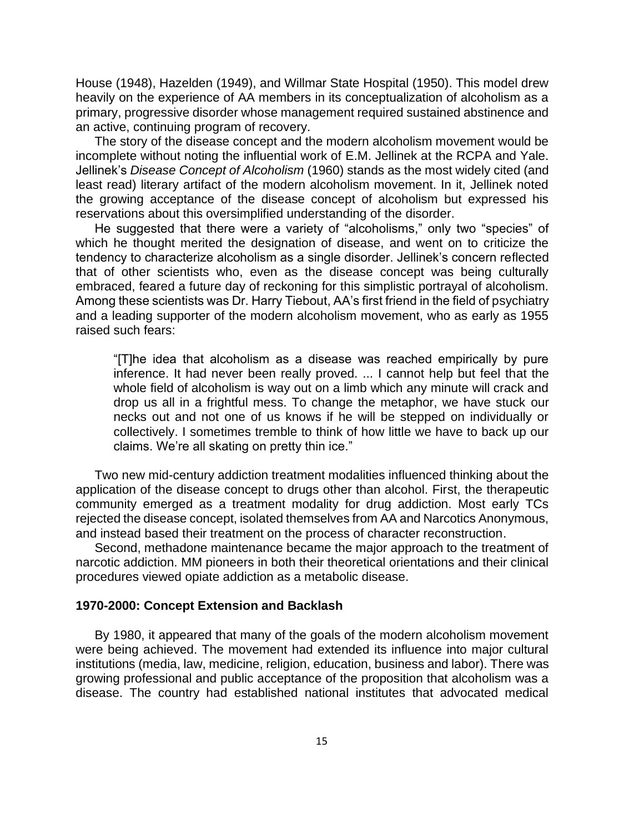House (1948), Hazelden (1949), and Willmar State Hospital (1950). This model drew heavily on the experience of AA members in its conceptualization of alcoholism as a primary, progressive disorder whose management required sustained abstinence and an active, continuing program of recovery.

The story of the disease concept and the modern alcoholism movement would be incomplete without noting the influential work of E.M. Jellinek at the RCPA and Yale. Jellinek's *Disease Concept of Alcoholism* (1960) stands as the most widely cited (and least read) literary artifact of the modern alcoholism movement. In it, Jellinek noted the growing acceptance of the disease concept of alcoholism but expressed his reservations about this oversimplified understanding of the disorder.

He suggested that there were a variety of "alcoholisms," only two "species" of which he thought merited the designation of disease, and went on to criticize the tendency to characterize alcoholism as a single disorder. Jellinek's concern reflected that of other scientists who, even as the disease concept was being culturally embraced, feared a future day of reckoning for this simplistic portrayal of alcoholism. Among these scientists was Dr. Harry Tiebout, AA's first friend in the field of psychiatry and a leading supporter of the modern alcoholism movement, who as early as 1955 raised such fears:

"[T]he idea that alcoholism as a disease was reached empirically by pure inference. It had never been really proved. ... I cannot help but feel that the whole field of alcoholism is way out on a limb which any minute will crack and drop us all in a frightful mess. To change the metaphor, we have stuck our necks out and not one of us knows if he will be stepped on individually or collectively. I sometimes tremble to think of how little we have to back up our claims. We're all skating on pretty thin ice."

Two new mid-century addiction treatment modalities influenced thinking about the application of the disease concept to drugs other than alcohol. First, the therapeutic community emerged as a treatment modality for drug addiction. Most early TCs rejected the disease concept, isolated themselves from AA and Narcotics Anonymous, and instead based their treatment on the process of character reconstruction.

Second, methadone maintenance became the major approach to the treatment of narcotic addiction. MM pioneers in both their theoretical orientations and their clinical procedures viewed opiate addiction as a metabolic disease.

#### **1970-2000: Concept Extension and Backlash**

By 1980, it appeared that many of the goals of the modern alcoholism movement were being achieved. The movement had extended its influence into major cultural institutions (media, law, medicine, religion, education, business and labor). There was growing professional and public acceptance of the proposition that alcoholism was a disease. The country had established national institutes that advocated medical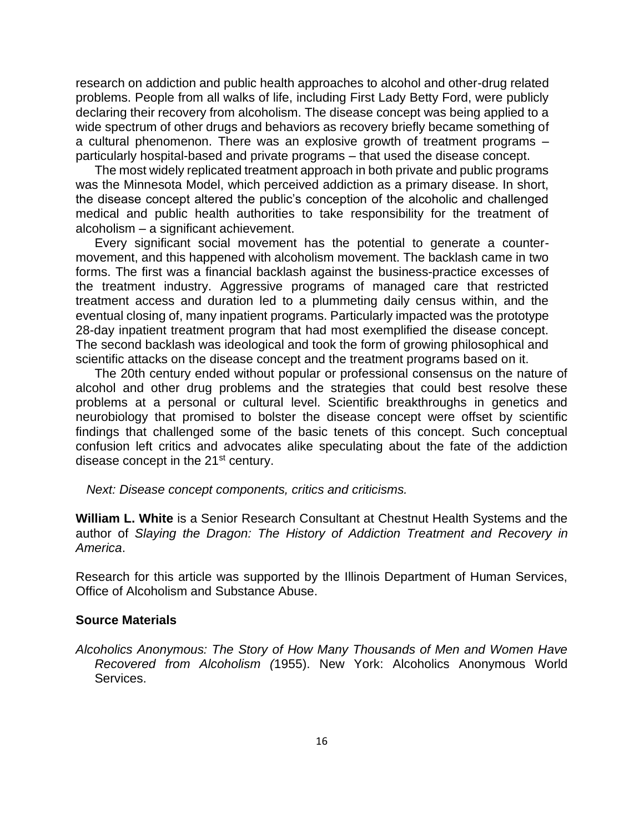research on addiction and public health approaches to alcohol and other-drug related problems. People from all walks of life, including First Lady Betty Ford, were publicly declaring their recovery from alcoholism. The disease concept was being applied to a wide spectrum of other drugs and behaviors as recovery briefly became something of a cultural phenomenon. There was an explosive growth of treatment programs – particularly hospital-based and private programs – that used the disease concept.

The most widely replicated treatment approach in both private and public programs was the Minnesota Model, which perceived addiction as a primary disease. In short, the disease concept altered the public's conception of the alcoholic and challenged medical and public health authorities to take responsibility for the treatment of alcoholism – a significant achievement.

Every significant social movement has the potential to generate a countermovement, and this happened with alcoholism movement. The backlash came in two forms. The first was a financial backlash against the business-practice excesses of the treatment industry. Aggressive programs of managed care that restricted treatment access and duration led to a plummeting daily census within, and the eventual closing of, many inpatient programs. Particularly impacted was the prototype 28-day inpatient treatment program that had most exemplified the disease concept. The second backlash was ideological and took the form of growing philosophical and scientific attacks on the disease concept and the treatment programs based on it.

The 20th century ended without popular or professional consensus on the nature of alcohol and other drug problems and the strategies that could best resolve these problems at a personal or cultural level. Scientific breakthroughs in genetics and neurobiology that promised to bolster the disease concept were offset by scientific findings that challenged some of the basic tenets of this concept. Such conceptual confusion left critics and advocates alike speculating about the fate of the addiction disease concept in the 21<sup>st</sup> century.

*Next: Disease concept components, critics and criticisms.* 

**William L. White** is a Senior Research Consultant at Chestnut Health Systems and the author of *Slaying the Dragon: The History of Addiction Treatment and Recovery in America*.

Research for this article was supported by the Illinois Department of Human Services, Office of Alcoholism and Substance Abuse.

## **Source Materials**

*Alcoholics Anonymous: The Story of How Many Thousands of Men and Women Have Recovered from Alcoholism (*1955). New York: Alcoholics Anonymous World Services.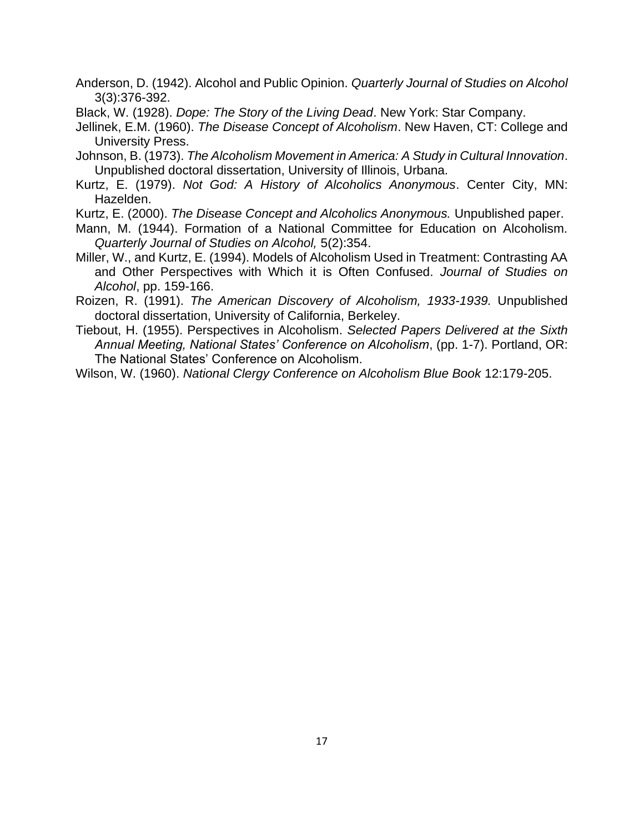Anderson, D. (1942). Alcohol and Public Opinion. *Quarterly Journal of Studies on Alcohol* 3(3):376-392.

- Black, W. (1928). *Dope: The Story of the Living Dead*. New York: Star Company.
- Jellinek, E.M. (1960). *The Disease Concept of Alcoholism*. New Haven, CT: College and University Press.
- Johnson, B. (1973). *The Alcoholism Movement in America: A Study in Cultural Innovation*. Unpublished doctoral dissertation, University of Illinois, Urbana.
- Kurtz, E. (1979). *Not God: A History of Alcoholics Anonymous*. Center City, MN: Hazelden.
- Kurtz, E. (2000). *The Disease Concept and Alcoholics Anonymous.* Unpublished paper.
- Mann, M. (1944). Formation of a National Committee for Education on Alcoholism. *Quarterly Journal of Studies on Alcohol,* 5(2):354.
- Miller, W., and Kurtz, E. (1994). Models of Alcoholism Used in Treatment: Contrasting AA and Other Perspectives with Which it is Often Confused. *Journal of Studies on Alcohol*, pp. 159-166.
- Roizen, R. (1991). *The American Discovery of Alcoholism, 1933-1939.* Unpublished doctoral dissertation, University of California, Berkeley.
- Tiebout, H. (1955). Perspectives in Alcoholism. *Selected Papers Delivered at the Sixth Annual Meeting, National States' Conference on Alcoholism*, (pp. 1-7). Portland, OR: The National States' Conference on Alcoholism.
- Wilson, W. (1960). *National Clergy Conference on Alcoholism Blue Book* 12:179-205.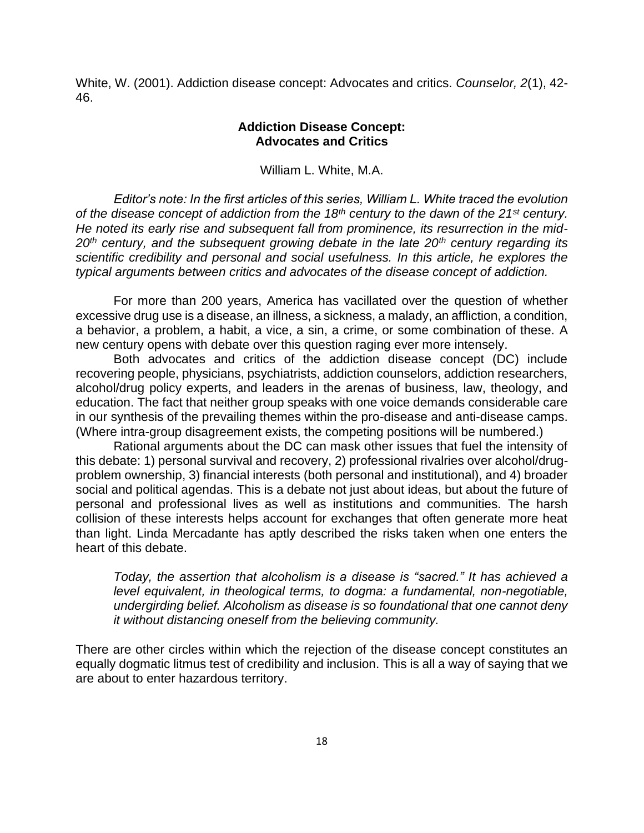White, W. (2001). Addiction disease concept: Advocates and critics. *Counselor, 2*(1), 42- 46.

## **Addiction Disease Concept: Advocates and Critics**

William L. White, M.A.

*Editor's note: In the first articles of this series, William L. White traced the evolution of the disease concept of addiction from the 18th century to the dawn of the 21st century. He noted its early rise and subsequent fall from prominence, its resurrection in the mid-20th century, and the subsequent growing debate in the late 20th century regarding its scientific credibility and personal and social usefulness. In this article, he explores the typical arguments between critics and advocates of the disease concept of addiction.*

For more than 200 years, America has vacillated over the question of whether excessive drug use is a disease, an illness, a sickness, a malady, an affliction, a condition, a behavior, a problem, a habit, a vice, a sin, a crime, or some combination of these. A new century opens with debate over this question raging ever more intensely.

Both advocates and critics of the addiction disease concept (DC) include recovering people, physicians, psychiatrists, addiction counselors, addiction researchers, alcohol/drug policy experts, and leaders in the arenas of business, law, theology, and education. The fact that neither group speaks with one voice demands considerable care in our synthesis of the prevailing themes within the pro-disease and anti-disease camps. (Where intra-group disagreement exists, the competing positions will be numbered.)

Rational arguments about the DC can mask other issues that fuel the intensity of this debate: 1) personal survival and recovery, 2) professional rivalries over alcohol/drugproblem ownership, 3) financial interests (both personal and institutional), and 4) broader social and political agendas. This is a debate not just about ideas, but about the future of personal and professional lives as well as institutions and communities. The harsh collision of these interests helps account for exchanges that often generate more heat than light. Linda Mercadante has aptly described the risks taken when one enters the heart of this debate.

*Today, the assertion that alcoholism is a disease is "sacred." It has achieved a level equivalent, in theological terms, to dogma: a fundamental, non-negotiable, undergirding belief. Alcoholism as disease is so foundational that one cannot deny it without distancing oneself from the believing community.*

There are other circles within which the rejection of the disease concept constitutes an equally dogmatic litmus test of credibility and inclusion. This is all a way of saying that we are about to enter hazardous territory.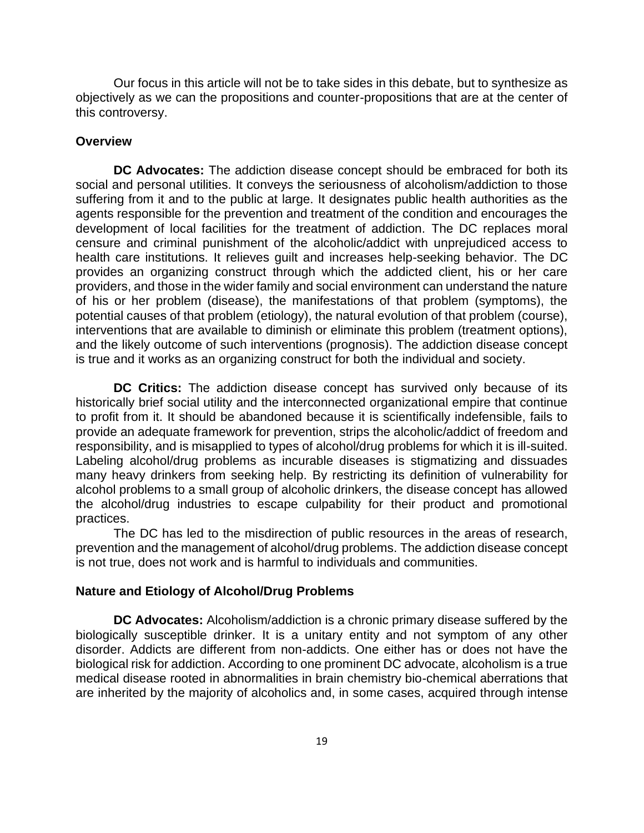Our focus in this article will not be to take sides in this debate, but to synthesize as objectively as we can the propositions and counter-propositions that are at the center of this controversy.

#### **Overview**

**DC Advocates:** The addiction disease concept should be embraced for both its social and personal utilities. It conveys the seriousness of alcoholism/addiction to those suffering from it and to the public at large. It designates public health authorities as the agents responsible for the prevention and treatment of the condition and encourages the development of local facilities for the treatment of addiction. The DC replaces moral censure and criminal punishment of the alcoholic/addict with unprejudiced access to health care institutions. It relieves guilt and increases help-seeking behavior. The DC provides an organizing construct through which the addicted client, his or her care providers, and those in the wider family and social environment can understand the nature of his or her problem (disease), the manifestations of that problem (symptoms), the potential causes of that problem (etiology), the natural evolution of that problem (course), interventions that are available to diminish or eliminate this problem (treatment options), and the likely outcome of such interventions (prognosis). The addiction disease concept is true and it works as an organizing construct for both the individual and society.

**DC Critics:** The addiction disease concept has survived only because of its historically brief social utility and the interconnected organizational empire that continue to profit from it. It should be abandoned because it is scientifically indefensible, fails to provide an adequate framework for prevention, strips the alcoholic/addict of freedom and responsibility, and is misapplied to types of alcohol/drug problems for which it is ill-suited. Labeling alcohol/drug problems as incurable diseases is stigmatizing and dissuades many heavy drinkers from seeking help. By restricting its definition of vulnerability for alcohol problems to a small group of alcoholic drinkers, the disease concept has allowed the alcohol/drug industries to escape culpability for their product and promotional practices.

The DC has led to the misdirection of public resources in the areas of research, prevention and the management of alcohol/drug problems. The addiction disease concept is not true, does not work and is harmful to individuals and communities.

#### **Nature and Etiology of Alcohol/Drug Problems**

**DC Advocates:** Alcoholism/addiction is a chronic primary disease suffered by the biologically susceptible drinker. It is a unitary entity and not symptom of any other disorder. Addicts are different from non-addicts. One either has or does not have the biological risk for addiction. According to one prominent DC advocate, alcoholism is a true medical disease rooted in abnormalities in brain chemistry bio-chemical aberrations that are inherited by the majority of alcoholics and, in some cases, acquired through intense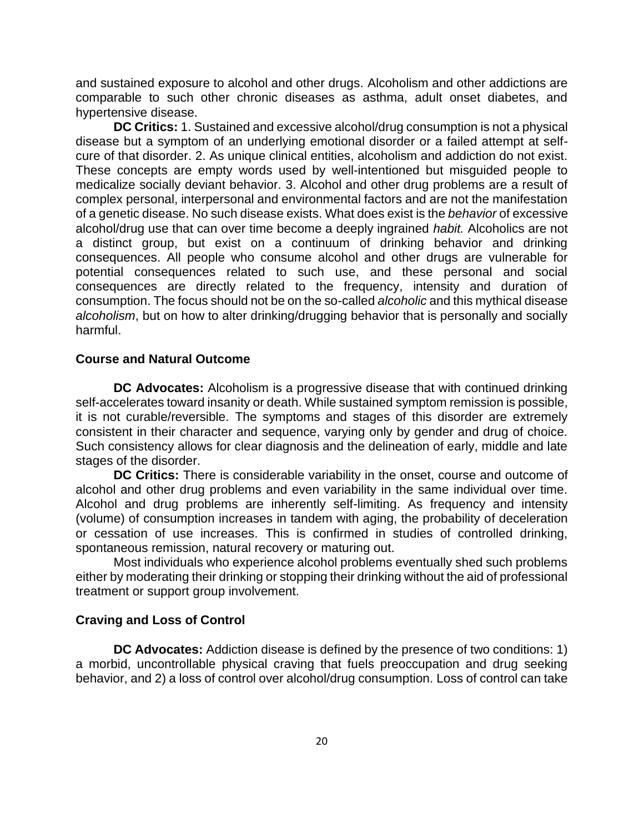and sustained exposure to alcohol and other drugs. Alcoholism and other addictions are comparable to such other chronic diseases as asthma, adult onset diabetes, and hypertensive disease.

**DC Critics:** 1. Sustained and excessive alcohol/drug consumption is not a physical disease but a symptom of an underlying emotional disorder or a failed attempt at selfcure of that disorder. 2. As unique clinical entities, alcoholism and addiction do not exist. These concepts are empty words used by well-intentioned but misguided people to medicalize socially deviant behavior. 3. Alcohol and other drug problems are a result of complex personal, interpersonal and environmental factors and are not the manifestation of a genetic disease. No such disease exists. What does exist is the *behavior* of excessive alcohol/drug use that can over time become a deeply ingrained *habit.* Alcoholics are not a distinct group, but exist on a continuum of drinking behavior and drinking consequences. All people who consume alcohol and other drugs are vulnerable for potential consequences related to such use, and these personal and social consequences are directly related to the frequency, intensity and duration of consumption. The focus should not be on the so-called *alcoholic* and this mythical disease *alcoholism*, but on how to alter drinking/drugging behavior that is personally and socially harmful.

#### **Course and Natural Outcome**

**DC Advocates:** Alcoholism is a progressive disease that with continued drinking self-accelerates toward insanity or death. While sustained symptom remission is possible, it is not curable/reversible. The symptoms and stages of this disorder are extremely consistent in their character and sequence, varying only by gender and drug of choice. Such consistency allows for clear diagnosis and the delineation of early, middle and late stages of the disorder.

**DC Critics:** There is considerable variability in the onset, course and outcome of alcohol and other drug problems and even variability in the same individual over time. Alcohol and drug problems are inherently self-limiting. As frequency and intensity (volume) of consumption increases in tandem with aging, the probability of deceleration or cessation of use increases. This is confirmed in studies of controlled drinking, spontaneous remission, natural recovery or maturing out.

Most individuals who experience alcohol problems eventually shed such problems either by moderating their drinking or stopping their drinking without the aid of professional treatment or support group involvement.

## **Craving and Loss of Control**

**DC Advocates:** Addiction disease is defined by the presence of two conditions: 1) a morbid, uncontrollable physical craving that fuels preoccupation and drug seeking behavior, and 2) a loss of control over alcohol/drug consumption. Loss of control can take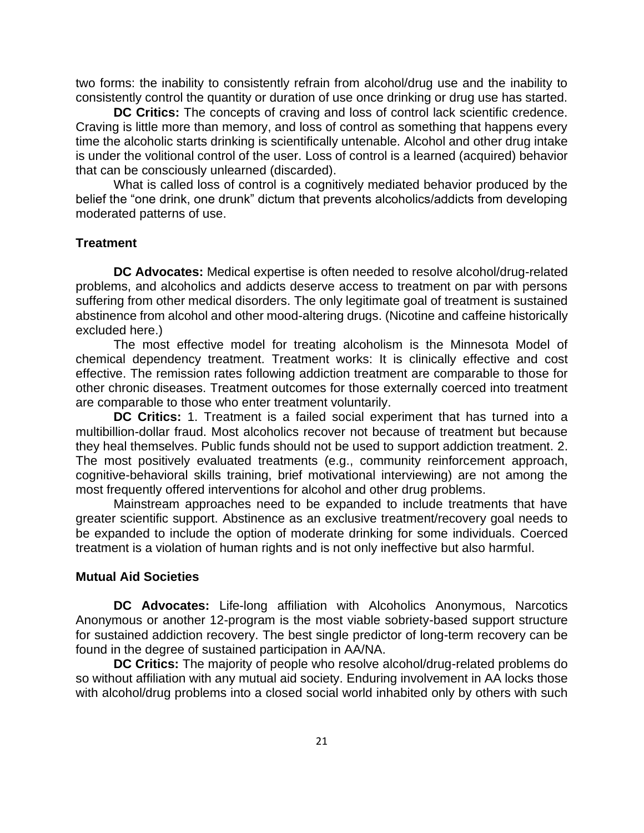two forms: the inability to consistently refrain from alcohol/drug use and the inability to consistently control the quantity or duration of use once drinking or drug use has started.

**DC Critics:** The concepts of craving and loss of control lack scientific credence. Craving is little more than memory, and loss of control as something that happens every time the alcoholic starts drinking is scientifically untenable. Alcohol and other drug intake is under the volitional control of the user. Loss of control is a learned (acquired) behavior that can be consciously unlearned (discarded).

What is called loss of control is a cognitively mediated behavior produced by the belief the "one drink, one drunk" dictum that prevents alcoholics/addicts from developing moderated patterns of use.

#### **Treatment**

**DC Advocates:** Medical expertise is often needed to resolve alcohol/drug-related problems, and alcoholics and addicts deserve access to treatment on par with persons suffering from other medical disorders. The only legitimate goal of treatment is sustained abstinence from alcohol and other mood-altering drugs. (Nicotine and caffeine historically excluded here.)

The most effective model for treating alcoholism is the Minnesota Model of chemical dependency treatment. Treatment works: It is clinically effective and cost effective. The remission rates following addiction treatment are comparable to those for other chronic diseases. Treatment outcomes for those externally coerced into treatment are comparable to those who enter treatment voluntarily.

**DC Critics:** 1. Treatment is a failed social experiment that has turned into a multibillion-dollar fraud. Most alcoholics recover not because of treatment but because they heal themselves. Public funds should not be used to support addiction treatment. 2. The most positively evaluated treatments (e.g., community reinforcement approach, cognitive-behavioral skills training, brief motivational interviewing) are not among the most frequently offered interventions for alcohol and other drug problems.

Mainstream approaches need to be expanded to include treatments that have greater scientific support. Abstinence as an exclusive treatment/recovery goal needs to be expanded to include the option of moderate drinking for some individuals. Coerced treatment is a violation of human rights and is not only ineffective but also harmful.

#### **Mutual Aid Societies**

**DC Advocates:** Life-long affiliation with Alcoholics Anonymous, Narcotics Anonymous or another 12-program is the most viable sobriety-based support structure for sustained addiction recovery. The best single predictor of long-term recovery can be found in the degree of sustained participation in AA/NA.

**DC Critics:** The majority of people who resolve alcohol/drug-related problems do so without affiliation with any mutual aid society. Enduring involvement in AA locks those with alcohol/drug problems into a closed social world inhabited only by others with such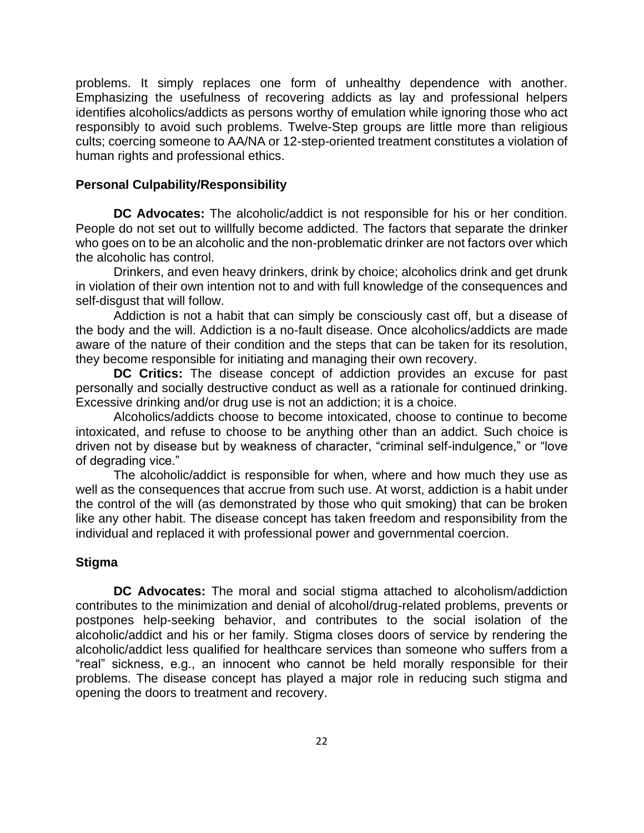problems. It simply replaces one form of unhealthy dependence with another. Emphasizing the usefulness of recovering addicts as lay and professional helpers identifies alcoholics/addicts as persons worthy of emulation while ignoring those who act responsibly to avoid such problems. Twelve-Step groups are little more than religious cults; coercing someone to AA/NA or 12-step-oriented treatment constitutes a violation of human rights and professional ethics.

## **Personal Culpability/Responsibility**

**DC Advocates:** The alcoholic/addict is not responsible for his or her condition. People do not set out to willfully become addicted. The factors that separate the drinker who goes on to be an alcoholic and the non-problematic drinker are not factors over which the alcoholic has control.

Drinkers, and even heavy drinkers, drink by choice; alcoholics drink and get drunk in violation of their own intention not to and with full knowledge of the consequences and self-disgust that will follow.

Addiction is not a habit that can simply be consciously cast off, but a disease of the body and the will. Addiction is a no-fault disease. Once alcoholics/addicts are made aware of the nature of their condition and the steps that can be taken for its resolution, they become responsible for initiating and managing their own recovery.

**DC Critics:** The disease concept of addiction provides an excuse for past personally and socially destructive conduct as well as a rationale for continued drinking. Excessive drinking and/or drug use is not an addiction; it is a choice.

Alcoholics/addicts choose to become intoxicated, choose to continue to become intoxicated, and refuse to choose to be anything other than an addict. Such choice is driven not by disease but by weakness of character, "criminal self-indulgence," or "love of degrading vice."

The alcoholic/addict is responsible for when, where and how much they use as well as the consequences that accrue from such use. At worst, addiction is a habit under the control of the will (as demonstrated by those who quit smoking) that can be broken like any other habit. The disease concept has taken freedom and responsibility from the individual and replaced it with professional power and governmental coercion.

## **Stigma**

**DC Advocates:** The moral and social stigma attached to alcoholism/addiction contributes to the minimization and denial of alcohol/drug-related problems, prevents or postpones help-seeking behavior, and contributes to the social isolation of the alcoholic/addict and his or her family. Stigma closes doors of service by rendering the alcoholic/addict less qualified for healthcare services than someone who suffers from a "real" sickness, e.g., an innocent who cannot be held morally responsible for their problems. The disease concept has played a major role in reducing such stigma and opening the doors to treatment and recovery.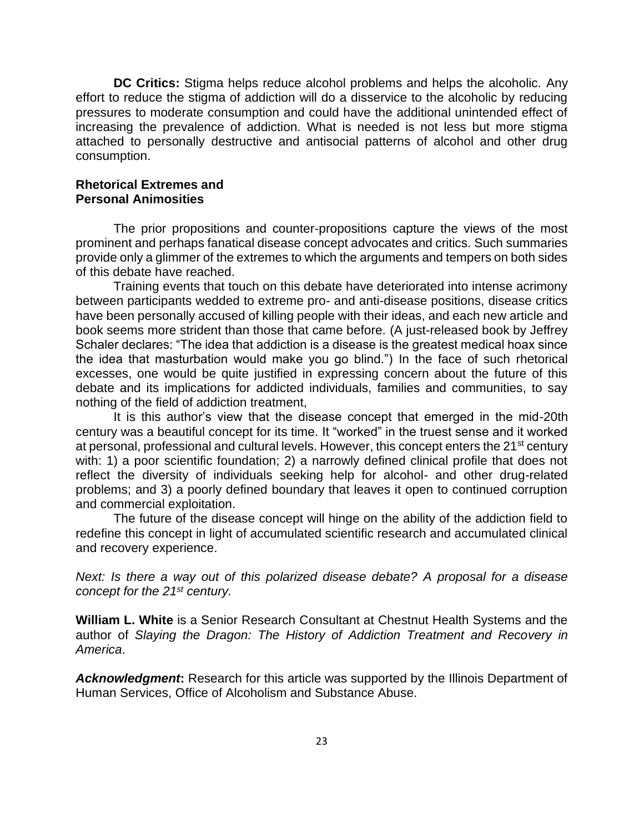**DC Critics:** Stigma helps reduce alcohol problems and helps the alcoholic. Any effort to reduce the stigma of addiction will do a disservice to the alcoholic by reducing pressures to moderate consumption and could have the additional unintended effect of increasing the prevalence of addiction. What is needed is not less but more stigma attached to personally destructive and antisocial patterns of alcohol and other drug consumption.

#### **Rhetorical Extremes and Personal Animosities**

The prior propositions and counter-propositions capture the views of the most prominent and perhaps fanatical disease concept advocates and critics. Such summaries provide only a glimmer of the extremes to which the arguments and tempers on both sides of this debate have reached.

Training events that touch on this debate have deteriorated into intense acrimony between participants wedded to extreme pro- and anti-disease positions, disease critics have been personally accused of killing people with their ideas, and each new article and book seems more strident than those that came before. (A just-released book by Jeffrey Schaler declares: "The idea that addiction is a disease is the greatest medical hoax since the idea that masturbation would make you go blind.") In the face of such rhetorical excesses, one would be quite justified in expressing concern about the future of this debate and its implications for addicted individuals, families and communities, to say nothing of the field of addiction treatment,

It is this author's view that the disease concept that emerged in the mid-20th century was a beautiful concept for its time. It "worked" in the truest sense and it worked at personal, professional and cultural levels. However, this concept enters the 21<sup>st</sup> century with: 1) a poor scientific foundation; 2) a narrowly defined clinical profile that does not reflect the diversity of individuals seeking help for alcohol- and other drug-related problems; and 3) a poorly defined boundary that leaves it open to continued corruption and commercial exploitation.

The future of the disease concept will hinge on the ability of the addiction field to redefine this concept in light of accumulated scientific research and accumulated clinical and recovery experience.

*Next: Is there a way out of this polarized disease debate? A proposal for a disease concept for the 21st century.* 

**William L. White** is a Senior Research Consultant at Chestnut Health Systems and the author of *Slaying the Dragon: The History of Addiction Treatment and Recovery in America*.

*Acknowledgment***:** Research for this article was supported by the Illinois Department of Human Services, Office of Alcoholism and Substance Abuse.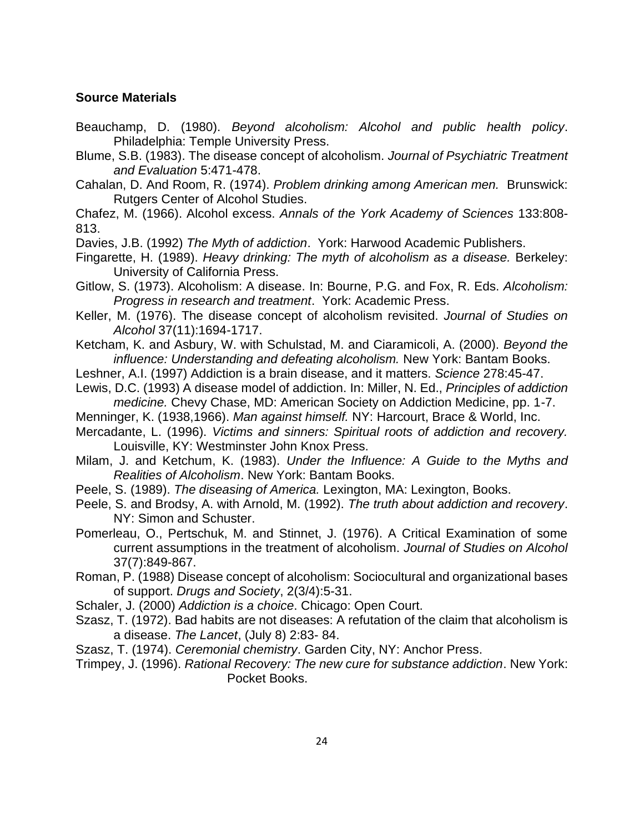## **Source Materials**

- Beauchamp, D. (1980). *Beyond alcoholism: Alcohol and public health policy*. Philadelphia: Temple University Press.
- Blume, S.B. (1983). The disease concept of alcoholism. *Journal of Psychiatric Treatment and Evaluation* 5:471-478.
- Cahalan, D. And Room, R. (1974). *Problem drinking among American men.* Brunswick: Rutgers Center of Alcohol Studies.

Chafez, M. (1966). Alcohol excess. *Annals of the York Academy of Sciences* 133:808- 813.

- Davies, J.B. (1992) *The Myth of addiction*. York: Harwood Academic Publishers.
- Fingarette, H. (1989). *Heavy drinking: The myth of alcoholism as a disease.* Berkeley: University of California Press.
- Gitlow, S. (1973). Alcoholism: A disease. In: Bourne, P.G. and Fox, R. Eds. *Alcoholism: Progress in research and treatment*. York: Academic Press.
- Keller, M. (1976). The disease concept of alcoholism revisited. *Journal of Studies on Alcohol* 37(11):1694-1717.

Ketcham, K. and Asbury, W. with Schulstad, M. and Ciaramicoli, A. (2000). *Beyond the influence: Understanding and defeating alcoholism.* New York: Bantam Books.

- Leshner, A.I. (1997) Addiction is a brain disease, and it matters. *Science* 278:45-47.
- Lewis, D.C. (1993) A disease model of addiction. In: Miller, N. Ed., *Principles of addiction medicine.* Chevy Chase, MD: American Society on Addiction Medicine, pp. 1-7.
- Menninger, K. (1938,1966). *Man against himself.* NY: Harcourt, Brace & World, Inc.
- Mercadante, L. (1996). *Victims and sinners: Spiritual roots of addiction and recovery.* Louisville, KY: Westminster John Knox Press.
- Milam, J. and Ketchum, K. (1983). *Under the Influence: A Guide to the Myths and Realities of Alcoholism*. New York: Bantam Books.
- Peele, S. (1989). *The diseasing of America.* Lexington, MA: Lexington, Books.
- Peele, S. and Brodsy, A. with Arnold, M. (1992). *The truth about addiction and recovery*. NY: Simon and Schuster.
- Pomerleau, O., Pertschuk, M. and Stinnet, J. (1976). A Critical Examination of some current assumptions in the treatment of alcoholism. *Journal of Studies on Alcohol* 37(7):849-867.
- Roman, P. (1988) Disease concept of alcoholism: Sociocultural and organizational bases of support. *Drugs and Society*, 2(3/4):5-31.
- Schaler, J. (2000) *Addiction is a choice*. Chicago: Open Court.
- Szasz, T. (1972). Bad habits are not diseases: A refutation of the claim that alcoholism is a disease. *The Lancet*, (July 8) 2:83- 84.
- Szasz, T. (1974). *Ceremonial chemistry*. Garden City, NY: Anchor Press.
- Trimpey, J. (1996). *Rational Recovery: The new cure for substance addiction*. New York: Pocket Books.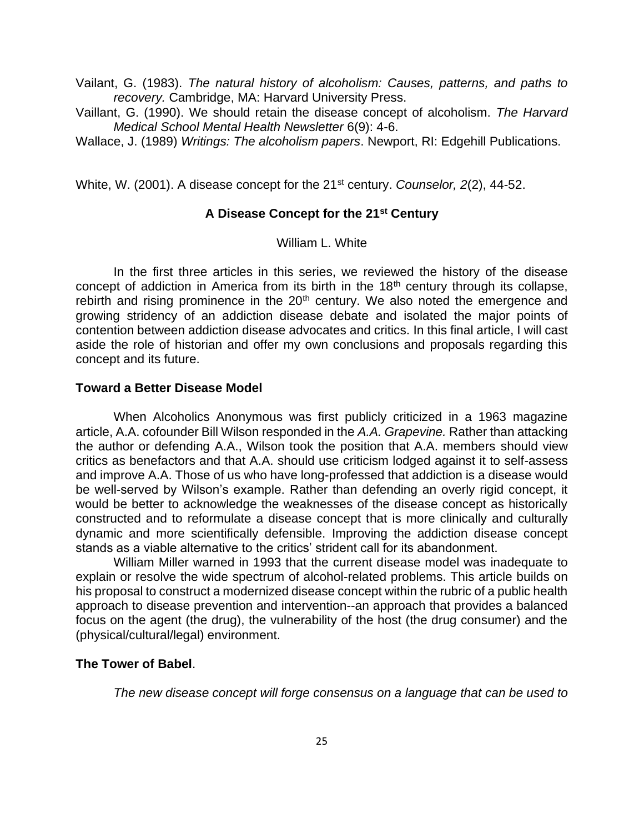Vailant, G. (1983). *The natural history of alcoholism: Causes, patterns, and paths to recovery.* Cambridge, MA: Harvard University Press.

Vaillant, G. (1990). We should retain the disease concept of alcoholism. *The Harvard Medical School Mental Health Newsletter* 6(9): 4-6.

Wallace, J. (1989) *Writings: The alcoholism papers*. Newport, RI: Edgehill Publications.

White, W. (2001). A disease concept for the 21<sup>st</sup> century. *Counselor, 2(2), 44-52.* 

## **A Disease Concept for the 21st Century**

William L. White

In the first three articles in this series, we reviewed the history of the disease concept of addiction in America from its birth in the 18<sup>th</sup> century through its collapse, rebirth and rising prominence in the 20<sup>th</sup> century. We also noted the emergence and growing stridency of an addiction disease debate and isolated the major points of contention between addiction disease advocates and critics. In this final article, I will cast aside the role of historian and offer my own conclusions and proposals regarding this concept and its future.

#### **Toward a Better Disease Model**

When Alcoholics Anonymous was first publicly criticized in a 1963 magazine article, A.A. cofounder Bill Wilson responded in the *A.A. Grapevine.* Rather than attacking the author or defending A.A., Wilson took the position that A.A. members should view critics as benefactors and that A.A. should use criticism lodged against it to self-assess and improve A.A. Those of us who have long-professed that addiction is a disease would be well-served by Wilson's example. Rather than defending an overly rigid concept, it would be better to acknowledge the weaknesses of the disease concept as historically constructed and to reformulate a disease concept that is more clinically and culturally dynamic and more scientifically defensible. Improving the addiction disease concept stands as a viable alternative to the critics' strident call for its abandonment.

William Miller warned in 1993 that the current disease model was inadequate to explain or resolve the wide spectrum of alcohol-related problems. This article builds on his proposal to construct a modernized disease concept within the rubric of a public health approach to disease prevention and intervention--an approach that provides a balanced focus on the agent (the drug), the vulnerability of the host (the drug consumer) and the (physical/cultural/legal) environment.

#### **The Tower of Babel**.

*The new disease concept will forge consensus on a language that can be used to*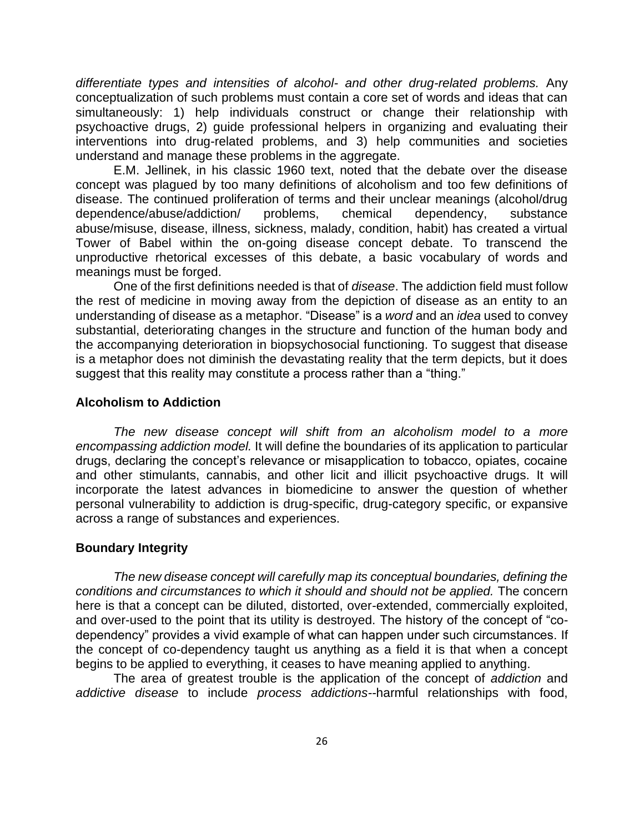*differentiate types and intensities of alcohol- and other drug-related problems.* Any conceptualization of such problems must contain a core set of words and ideas that can simultaneously: 1) help individuals construct or change their relationship with psychoactive drugs, 2) guide professional helpers in organizing and evaluating their interventions into drug-related problems, and 3) help communities and societies understand and manage these problems in the aggregate.

E.M. Jellinek, in his classic 1960 text, noted that the debate over the disease concept was plagued by too many definitions of alcoholism and too few definitions of disease. The continued proliferation of terms and their unclear meanings (alcohol/drug dependence/abuse/addiction/ problems, chemical dependency, substance abuse/misuse, disease, illness, sickness, malady, condition, habit) has created a virtual Tower of Babel within the on-going disease concept debate. To transcend the unproductive rhetorical excesses of this debate, a basic vocabulary of words and meanings must be forged.

One of the first definitions needed is that of *disease*. The addiction field must follow the rest of medicine in moving away from the depiction of disease as an entity to an understanding of disease as a metaphor. "Disease" is a *word* and an *idea* used to convey substantial, deteriorating changes in the structure and function of the human body and the accompanying deterioration in biopsychosocial functioning. To suggest that disease is a metaphor does not diminish the devastating reality that the term depicts, but it does suggest that this reality may constitute a process rather than a "thing."

#### **Alcoholism to Addiction**

*The new disease concept will shift from an alcoholism model to a more encompassing addiction model.* It will define the boundaries of its application to particular drugs, declaring the concept's relevance or misapplication to tobacco, opiates, cocaine and other stimulants, cannabis, and other licit and illicit psychoactive drugs. It will incorporate the latest advances in biomedicine to answer the question of whether personal vulnerability to addiction is drug-specific, drug-category specific, or expansive across a range of substances and experiences.

#### **Boundary Integrity**

*The new disease concept will carefully map its conceptual boundaries, defining the conditions and circumstances to which it should and should not be applied.* The concern here is that a concept can be diluted, distorted, over-extended, commercially exploited, and over-used to the point that its utility is destroyed. The history of the concept of "codependency" provides a vivid example of what can happen under such circumstances. If the concept of co-dependency taught us anything as a field it is that when a concept begins to be applied to everything, it ceases to have meaning applied to anything.

The area of greatest trouble is the application of the concept of *addiction* and *addictive disease* to include *process addictions--*harmful relationships with food,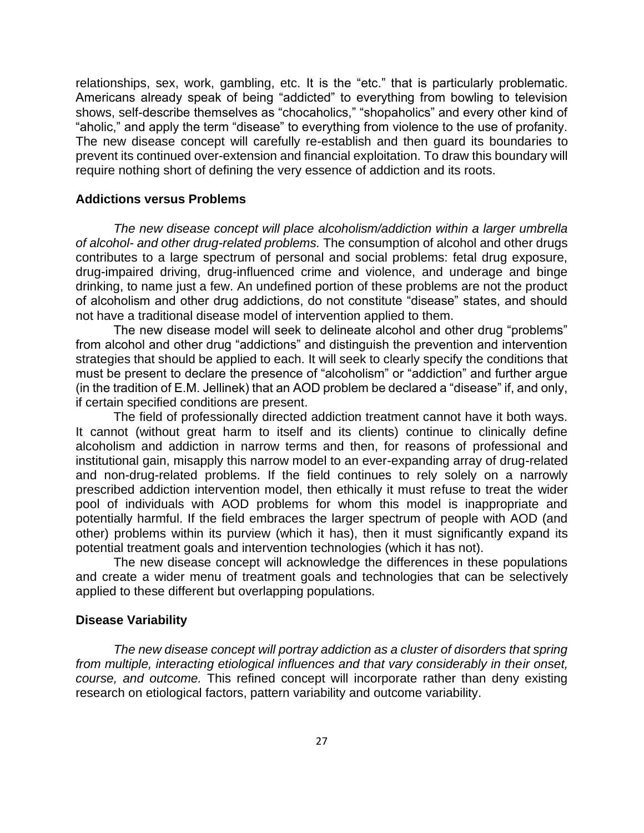relationships, sex, work, gambling, etc. It is the "etc." that is particularly problematic. Americans already speak of being "addicted" to everything from bowling to television shows, self-describe themselves as "chocaholics," "shopaholics" and every other kind of "aholic," and apply the term "disease" to everything from violence to the use of profanity. The new disease concept will carefully re-establish and then guard its boundaries to prevent its continued over-extension and financial exploitation. To draw this boundary will require nothing short of defining the very essence of addiction and its roots.

#### **Addictions versus Problems**

*The new disease concept will place alcoholism/addiction within a larger umbrella of alcohol- and other drug-related problems.* The consumption of alcohol and other drugs contributes to a large spectrum of personal and social problems: fetal drug exposure, drug-impaired driving, drug-influenced crime and violence, and underage and binge drinking, to name just a few. An undefined portion of these problems are not the product of alcoholism and other drug addictions, do not constitute "disease" states, and should not have a traditional disease model of intervention applied to them.

The new disease model will seek to delineate alcohol and other drug "problems" from alcohol and other drug "addictions" and distinguish the prevention and intervention strategies that should be applied to each. It will seek to clearly specify the conditions that must be present to declare the presence of "alcoholism" or "addiction" and further argue (in the tradition of E.M. Jellinek) that an AOD problem be declared a "disease" if, and only, if certain specified conditions are present.

The field of professionally directed addiction treatment cannot have it both ways. It cannot (without great harm to itself and its clients) continue to clinically define alcoholism and addiction in narrow terms and then, for reasons of professional and institutional gain, misapply this narrow model to an ever-expanding array of drug-related and non-drug-related problems. If the field continues to rely solely on a narrowly prescribed addiction intervention model, then ethically it must refuse to treat the wider pool of individuals with AOD problems for whom this model is inappropriate and potentially harmful. If the field embraces the larger spectrum of people with AOD (and other) problems within its purview (which it has), then it must significantly expand its potential treatment goals and intervention technologies (which it has not).

The new disease concept will acknowledge the differences in these populations and create a wider menu of treatment goals and technologies that can be selectively applied to these different but overlapping populations.

#### **Disease Variability**

*The new disease concept will portray addiction as a cluster of disorders that spring from multiple, interacting etiological influences and that vary considerably in their onset, course, and outcome.* This refined concept will incorporate rather than deny existing research on etiological factors, pattern variability and outcome variability.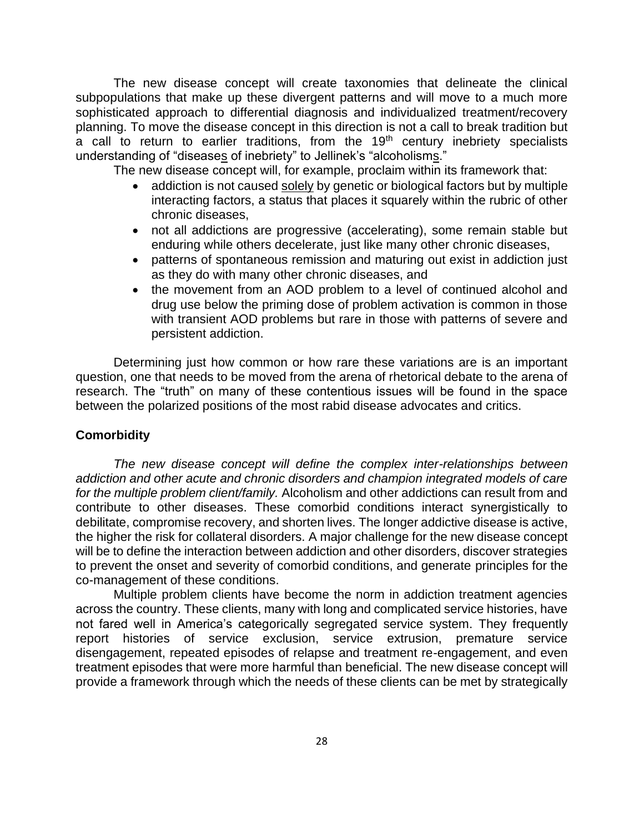The new disease concept will create taxonomies that delineate the clinical subpopulations that make up these divergent patterns and will move to a much more sophisticated approach to differential diagnosis and individualized treatment/recovery planning. To move the disease concept in this direction is not a call to break tradition but  $\overline{a}$  call to return to earlier traditions, from the 19<sup>th</sup> century inebriety specialists understanding of "diseases of inebriety" to Jellinek's "alcoholisms."

The new disease concept will, for example, proclaim within its framework that:

- addiction is not caused solely by genetic or biological factors but by multiple interacting factors, a status that places it squarely within the rubric of other chronic diseases,
- not all addictions are progressive (accelerating), some remain stable but enduring while others decelerate, just like many other chronic diseases,
- patterns of spontaneous remission and maturing out exist in addiction just as they do with many other chronic diseases, and
- the movement from an AOD problem to a level of continued alcohol and drug use below the priming dose of problem activation is common in those with transient AOD problems but rare in those with patterns of severe and persistent addiction.

Determining just how common or how rare these variations are is an important question, one that needs to be moved from the arena of rhetorical debate to the arena of research. The "truth" on many of these contentious issues will be found in the space between the polarized positions of the most rabid disease advocates and critics.

#### **Comorbidity**

*The new disease concept will define the complex inter-relationships between addiction and other acute and chronic disorders and champion integrated models of care for the multiple problem client/family.* Alcoholism and other addictions can result from and contribute to other diseases. These comorbid conditions interact synergistically to debilitate, compromise recovery, and shorten lives. The longer addictive disease is active, the higher the risk for collateral disorders. A major challenge for the new disease concept will be to define the interaction between addiction and other disorders, discover strategies to prevent the onset and severity of comorbid conditions, and generate principles for the co-management of these conditions.

Multiple problem clients have become the norm in addiction treatment agencies across the country. These clients, many with long and complicated service histories, have not fared well in America's categorically segregated service system. They frequently report histories of service exclusion, service extrusion, premature service disengagement, repeated episodes of relapse and treatment re-engagement, and even treatment episodes that were more harmful than beneficial. The new disease concept will provide a framework through which the needs of these clients can be met by strategically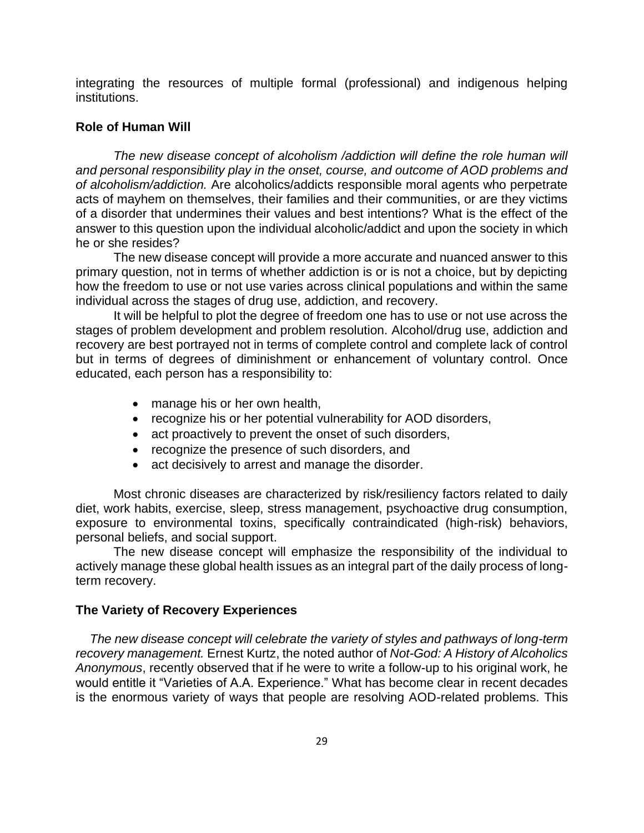integrating the resources of multiple formal (professional) and indigenous helping institutions.

## **Role of Human Will**

*The new disease concept of alcoholism /addiction will define the role human will and personal responsibility play in the onset, course, and outcome of AOD problems and of alcoholism/addiction.* Are alcoholics/addicts responsible moral agents who perpetrate acts of mayhem on themselves, their families and their communities, or are they victims of a disorder that undermines their values and best intentions? What is the effect of the answer to this question upon the individual alcoholic/addict and upon the society in which he or she resides?

The new disease concept will provide a more accurate and nuanced answer to this primary question, not in terms of whether addiction is or is not a choice, but by depicting how the freedom to use or not use varies across clinical populations and within the same individual across the stages of drug use, addiction, and recovery.

It will be helpful to plot the degree of freedom one has to use or not use across the stages of problem development and problem resolution. Alcohol/drug use, addiction and recovery are best portrayed not in terms of complete control and complete lack of control but in terms of degrees of diminishment or enhancement of voluntary control. Once educated, each person has a responsibility to:

- manage his or her own health,
- recognize his or her potential vulnerability for AOD disorders,
- act proactively to prevent the onset of such disorders,
- recognize the presence of such disorders, and
- act decisively to arrest and manage the disorder.

Most chronic diseases are characterized by risk/resiliency factors related to daily diet, work habits, exercise, sleep, stress management, psychoactive drug consumption, exposure to environmental toxins, specifically contraindicated (high-risk) behaviors, personal beliefs, and social support.

The new disease concept will emphasize the responsibility of the individual to actively manage these global health issues as an integral part of the daily process of longterm recovery.

#### **The Variety of Recovery Experiences**

 *The new disease concept will celebrate the variety of styles and pathways of long-term recovery management.* Ernest Kurtz, the noted author of *Not-God: A History of Alcoholics Anonymous*, recently observed that if he were to write a follow-up to his original work, he would entitle it "Varieties of A.A. Experience." What has become clear in recent decades is the enormous variety of ways that people are resolving AOD-related problems. This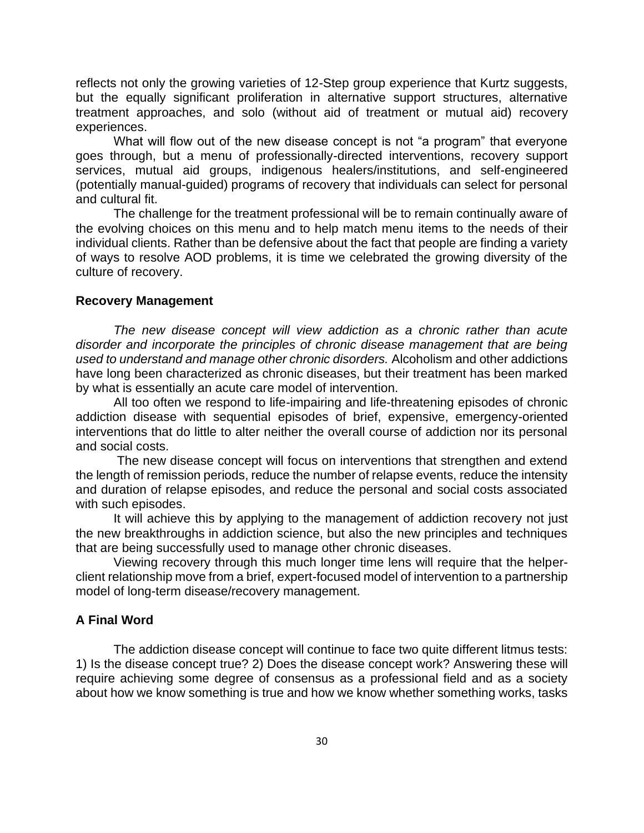reflects not only the growing varieties of 12-Step group experience that Kurtz suggests, but the equally significant proliferation in alternative support structures, alternative treatment approaches, and solo (without aid of treatment or mutual aid) recovery experiences.

What will flow out of the new disease concept is not "a program" that everyone goes through, but a menu of professionally-directed interventions, recovery support services, mutual aid groups, indigenous healers/institutions, and self-engineered (potentially manual-guided) programs of recovery that individuals can select for personal and cultural fit.

The challenge for the treatment professional will be to remain continually aware of the evolving choices on this menu and to help match menu items to the needs of their individual clients. Rather than be defensive about the fact that people are finding a variety of ways to resolve AOD problems, it is time we celebrated the growing diversity of the culture of recovery.

#### **Recovery Management**

*The new disease concept will view addiction as a chronic rather than acute disorder and incorporate the principles of chronic disease management that are being used to understand and manage other chronic disorders.* Alcoholism and other addictions have long been characterized as chronic diseases, but their treatment has been marked by what is essentially an acute care model of intervention.

All too often we respond to life-impairing and life-threatening episodes of chronic addiction disease with sequential episodes of brief, expensive, emergency-oriented interventions that do little to alter neither the overall course of addiction nor its personal and social costs.

The new disease concept will focus on interventions that strengthen and extend the length of remission periods, reduce the number of relapse events, reduce the intensity and duration of relapse episodes, and reduce the personal and social costs associated with such episodes.

It will achieve this by applying to the management of addiction recovery not just the new breakthroughs in addiction science, but also the new principles and techniques that are being successfully used to manage other chronic diseases.

Viewing recovery through this much longer time lens will require that the helperclient relationship move from a brief, expert-focused model of intervention to a partnership model of long-term disease/recovery management.

## **A Final Word**

The addiction disease concept will continue to face two quite different litmus tests: 1) Is the disease concept true? 2) Does the disease concept work? Answering these will require achieving some degree of consensus as a professional field and as a society about how we know something is true and how we know whether something works, tasks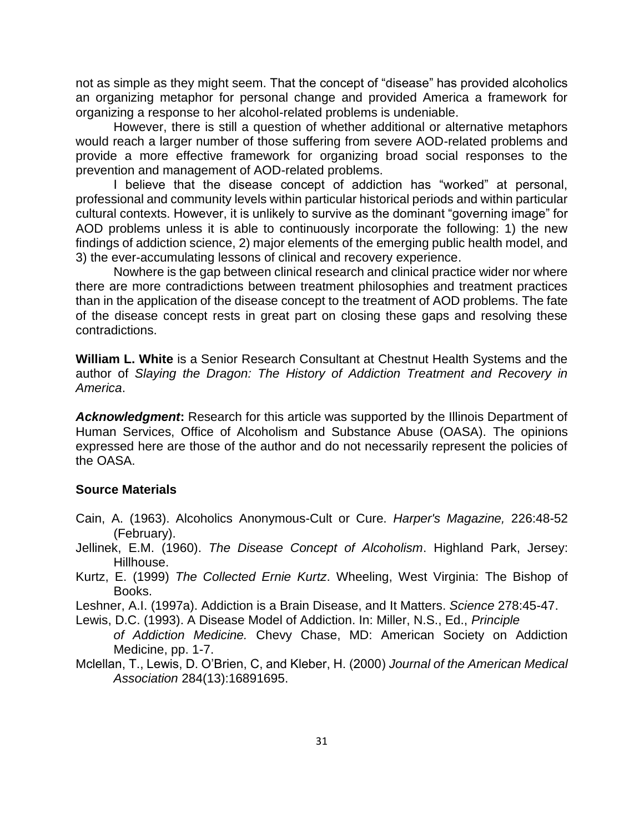not as simple as they might seem. That the concept of "disease" has provided alcoholics an organizing metaphor for personal change and provided America a framework for organizing a response to her alcohol-related problems is undeniable.

However, there is still a question of whether additional or alternative metaphors would reach a larger number of those suffering from severe AOD-related problems and provide a more effective framework for organizing broad social responses to the prevention and management of AOD-related problems.

I believe that the disease concept of addiction has "worked" at personal, professional and community levels within particular historical periods and within particular cultural contexts. However, it is unlikely to survive as the dominant "governing image" for AOD problems unless it is able to continuously incorporate the following: 1) the new findings of addiction science, 2) major elements of the emerging public health model, and 3) the ever-accumulating lessons of clinical and recovery experience.

Nowhere is the gap between clinical research and clinical practice wider nor where there are more contradictions between treatment philosophies and treatment practices than in the application of the disease concept to the treatment of AOD problems. The fate of the disease concept rests in great part on closing these gaps and resolving these contradictions.

**William L. White** is a Senior Research Consultant at Chestnut Health Systems and the author of *Slaying the Dragon: The History of Addiction Treatment and Recovery in America*.

*Acknowledgment***:** Research for this article was supported by the Illinois Department of Human Services, Office of Alcoholism and Substance Abuse (OASA). The opinions expressed here are those of the author and do not necessarily represent the policies of the OASA.

#### **Source Materials**

- Cain, A. (1963). Alcoholics Anonymous-Cult or Cure. *Harper's Magazine,* 226:48-52 (February).
- Jellinek, E.M. (1960). *The Disease Concept of Alcoholism*. Highland Park, Jersey: Hillhouse.
- Kurtz, E. (1999) *The Collected Ernie Kurtz*. Wheeling, West Virginia: The Bishop of Books.
- Leshner, A.I. (1997a). Addiction is a Brain Disease, and It Matters. *Science* 278:45-47.
- Lewis, D.C. (1993). A Disease Model of Addiction. In: Miller, N.S., Ed., *Principle of Addiction Medicine.* Chevy Chase, MD: American Society on Addiction Medicine, pp. 1-7.
- Mclellan, T., Lewis, D. O'Brien, C, and Kleber, H. (2000) *Journal of the American Medical Association* 284(13):16891695.